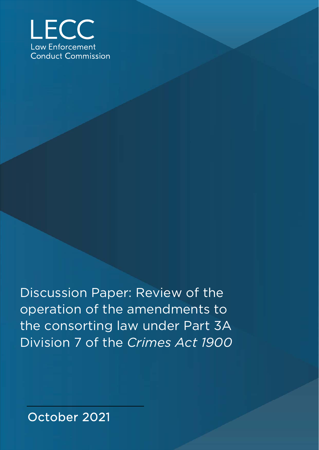

Discussion Paper: Review of the operation of the amendments to the consorting law under Part 3A Division 7 of the *Crimes Act 1900*

October 2021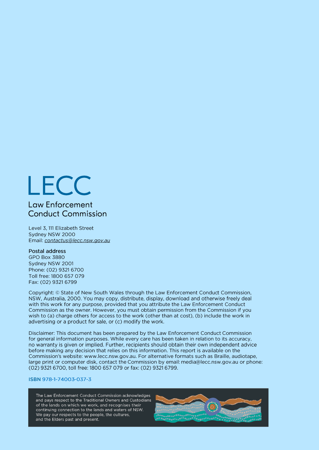# LECC

### **Law Enforcement Conduct Commission**

Level 3, 111 Elizabeth Street Sydney NSW 2000 Email: contactus@lecc.nsw.gov.au

Postal address **GPO Box 3880** Sydney NSW 2001 Phone: (02) 9321 6700 Toll free: 1800 657 079 Fax: (02) 9321 6799

Copyright: © State of New South Wales through the Law Enforcement Conduct Commission. NSW, Australia, 2000. You may copy, distribute, display, download and otherwise freely deal with this work for any purpose, provided that you attribute the Law Enforcement Conduct Commission as the owner. However, you must obtain permission from the Commission if you wish to (a) charge others for access to the work (other than at cost), (b) include the work in advertising or a product for sale, or (c) modify the work.

Disclaimer: This document has been prepared by the Law Enforcement Conduct Commission for general information purposes. While every care has been taken in relation to its accuracy, no warranty is given or implied. Further, recipients should obtain their own independent advice before making any decision that relies on this information. This report is available on the Commission's website: www.lecc.nsw.gov.au. For alternative formats such as Braille, audiotape, large print or computer disk, contact the Commission by email: media@lecc.nsw.gov.au or phone: (02) 9321 6700, toll free: 1800 657 079 or fax: (02) 9321 6799.

#### ISBN 978-1-74003-037-3

The Law Enforcement Conduct Commission acknowledges and pays respect to the Traditional Owners and Custodians of the lands on which we work, and recognises their continuing connection to the lands and waters of NSW. We pay our respects to the people, the cultures, and the Elders past and present.

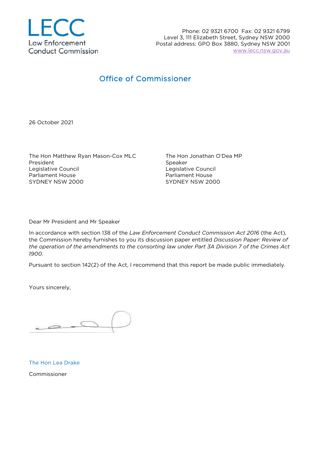

# Office of Commissioner

26 October 2021

The Hon Matthew Ryan Mason-Cox MLC The Hon Jonathan O'Dea MP President Speaker Legislative Council Legislative Council Parliament House **Parliament House** SYDNEY NSW 2000 SYDNEY NSW 2000

Dear Mr President and Mr Speaker

In accordance with section 138 of the *Law Enforcement Conduct Commission Act 2016* (the Act), the Commission hereby furnishes to you its discussion paper entitled *Discussion Paper: Review of the operation of the amendments to the consorting law under Part 3A Division 7 of the Crimes Act 1900*.

Pursuant to section 142(2) of the Act, I recommend that this report be made public immediately.

Yours sincerely,

The Hon Lea Drake

Commissioner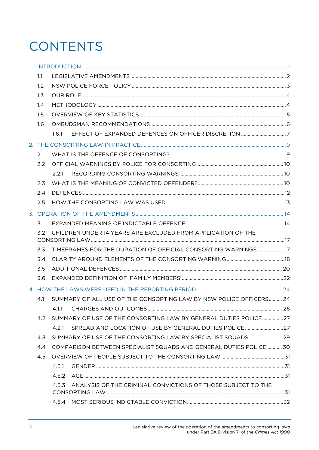# **CONTENTS**

|  | 1.1 |                                                                       |  |  |  |  |  |  |  |  |
|--|-----|-----------------------------------------------------------------------|--|--|--|--|--|--|--|--|
|  | 1.2 |                                                                       |  |  |  |  |  |  |  |  |
|  | 1.3 |                                                                       |  |  |  |  |  |  |  |  |
|  | 1.4 |                                                                       |  |  |  |  |  |  |  |  |
|  | 1.5 |                                                                       |  |  |  |  |  |  |  |  |
|  | 1.6 |                                                                       |  |  |  |  |  |  |  |  |
|  |     | 1.6.1                                                                 |  |  |  |  |  |  |  |  |
|  |     |                                                                       |  |  |  |  |  |  |  |  |
|  | 2.1 |                                                                       |  |  |  |  |  |  |  |  |
|  | 2.2 |                                                                       |  |  |  |  |  |  |  |  |
|  |     |                                                                       |  |  |  |  |  |  |  |  |
|  | 2.3 |                                                                       |  |  |  |  |  |  |  |  |
|  | 2.4 |                                                                       |  |  |  |  |  |  |  |  |
|  | 2.5 |                                                                       |  |  |  |  |  |  |  |  |
|  |     |                                                                       |  |  |  |  |  |  |  |  |
|  | 3.1 |                                                                       |  |  |  |  |  |  |  |  |
|  | 3.2 | CHILDREN UNDER 14 YEARS ARE EXCLUDED FROM APPLICATION OF THE          |  |  |  |  |  |  |  |  |
|  | 3.3 | TIMEFRAMES FOR THE DURATION OF OFFICIAL CONSORTING WARNINGS17         |  |  |  |  |  |  |  |  |
|  | 3.4 |                                                                       |  |  |  |  |  |  |  |  |
|  | 3.5 |                                                                       |  |  |  |  |  |  |  |  |
|  | 3.6 |                                                                       |  |  |  |  |  |  |  |  |
|  |     |                                                                       |  |  |  |  |  |  |  |  |
|  | 4.1 | SUMMARY OF ALL USE OF THE CONSORTING LAW BY NSW POLICE OFFICERS 24    |  |  |  |  |  |  |  |  |
|  |     | 4.1.1                                                                 |  |  |  |  |  |  |  |  |
|  | 4.2 | SUMMARY OF USE OF THE CONSORTING LAW BY GENERAL DUTIES POLICE27       |  |  |  |  |  |  |  |  |
|  |     | SPREAD AND LOCATION OF USE BY GENERAL DUTIES POLICE27<br>4.2.1        |  |  |  |  |  |  |  |  |
|  | 4.3 | SUMMARY OF USE OF THE CONSORTING LAW BY SPECIALIST SQUADS 29          |  |  |  |  |  |  |  |  |
|  | 4.4 | COMPARISON BETWEEN SPECIALIST SQUADS AND GENERAL DUTIES POLICE  30    |  |  |  |  |  |  |  |  |
|  | 4.5 |                                                                       |  |  |  |  |  |  |  |  |
|  |     | 4.5.1                                                                 |  |  |  |  |  |  |  |  |
|  |     | 4.5.2                                                                 |  |  |  |  |  |  |  |  |
|  |     | ANALYSIS OF THE CRIMINAL CONVICTIONS OF THOSE SUBJECT TO THE<br>4.5.3 |  |  |  |  |  |  |  |  |
|  |     |                                                                       |  |  |  |  |  |  |  |  |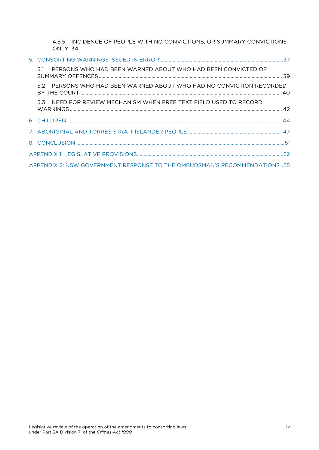4.5.5 INCIDENCE OF PEOPLE WITH NO CONVICTIONS, OR SUMMARY CONVICTIONS ONLY 34

| PERSONS WHO HAD BEEN WARNED ABOUT WHO HAD BEEN CONVICTED OF<br>5.1       |  |
|--------------------------------------------------------------------------|--|
| 5.2 PERSONS WHO HAD BEEN WARNED ABOUT WHO HAD NO CONVICTION RECORDED     |  |
| 5.3 NEED FOR REVIEW MECHANISM WHEN FREE TEXT FIELD USED TO RECORD        |  |
|                                                                          |  |
|                                                                          |  |
|                                                                          |  |
|                                                                          |  |
| APPENDIX 2: NSW GOVERNMENT RESPONSE TO THE OMBUDSMAN'S RECOMMENDATIONS55 |  |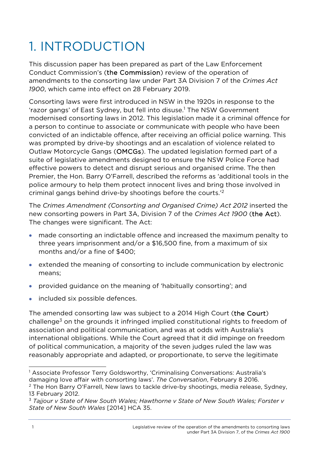# 1. INTRODUCTION

This discussion paper has been prepared as part of the Law Enforcement Conduct Commission's (the Commission) review of the operation of amendments to the consorting law under Part 3A Division 7 of the *Crimes Act 1900*, which came into effect on 28 February 2019.

Consorting laws were first introduced in NSW in the 1920s in response to the 'razor gangs' of East Sydney, but fell into disuse.<sup>1</sup> The NSW Government modernised consorting laws in 2012. This legislation made it a criminal offence for a person to continue to associate or communicate with people who have been convicted of an indictable offence, after receiving an official police warning. This was prompted by drive-by shootings and an escalation of violence related to Outlaw Motorcycle Gangs (OMCGs). The updated legislation formed part of a suite of legislative amendments designed to ensure the NSW Police Force had effective powers to detect and disrupt serious and organised crime. The then Premier, the Hon. Barry O'Farrell, described the reforms as 'additional tools in the police armoury to help them protect innocent lives and bring those involved in criminal gangs behind drive-by shootings before the courts.'2

The *Crimes Amendment (Consorting and Organised Crime) Act 2012* inserted the new consorting powers in Part 3A, Division 7 of the *Crimes Act 1900* (the Act). The changes were significant. The Act:

- made consorting an indictable offence and increased the maximum penalty to three years imprisonment and/or a \$16,500 fine, from a maximum of six months and/or a fine of \$400;
- extended the meaning of consorting to include communication by electronic means;
- provided guidance on the meaning of 'habitually consorting'; and
- included six possible defences.

The amended consorting law was subject to a 2014 High Court (the Court) challenge3 on the grounds it infringed implied constitutional rights to freedom of association and political communication, and was at odds with Australia's international obligations. While the Court agreed that it did impinge on freedom of political communication, a majority of the seven judges ruled the law was reasonably appropriate and adapted, or proportionate, to serve the legitimate

<sup>-</sup><sup>1</sup> Associate Professor Terry Goldsworthy, 'Criminalising Conversations: Australia's damaging love affair with consorting laws'. *The Conversation*, February 8 2016.

 $2$  The Hon Barry O'Farrell, New laws to tackle drive-by shootings, media release, Sydney, 13 February 2012.

<sup>3</sup> *Tajjour v State of New South Wales; Hawthorne v State of New South Wales; Forster v State of New South Wales* [2014] HCA 35.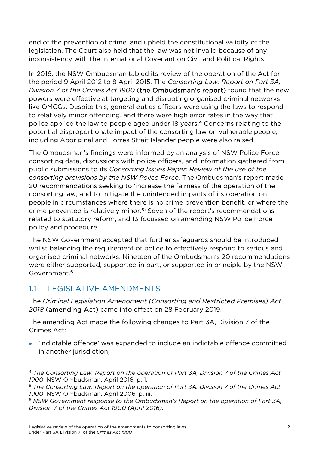end of the prevention of crime, and upheld the constitutional validity of the legislation. The Court also held that the law was not invalid because of any inconsistency with the International Covenant on Civil and Political Rights.

In 2016, the NSW Ombudsman tabled its review of the operation of the Act for the period 9 April 2012 to 8 April 2015. The *Consorting Law: Report on Part 3A, Division 7 of the Crimes Act 1900* (the Ombudsman's report) found that the new powers were effective at targeting and disrupting organised criminal networks like OMCGs. Despite this, general duties officers were using the laws to respond to relatively minor offending, and there were high error rates in the way that police applied the law to people aged under 18 years.<sup>4</sup> Concerns relating to the potential disproportionate impact of the consorting law on vulnerable people, including Aboriginal and Torres Strait Islander people were also raised.

The Ombudsman's findings were informed by an analysis of NSW Police Force consorting data, discussions with police officers, and information gathered from public submissions to its *Consorting Issues Paper: Review of the use of the consorting provisions by the NSW Police Force*. The Ombudsman's report made 20 recommendations seeking to 'increase the fairness of the operation of the consorting law, and to mitigate the unintended impacts of its operation on people in circumstances where there is no crime prevention benefit, or where the crime prevented is relatively minor.'5 Seven of the report's recommendations related to statutory reform, and 13 focussed on amending NSW Police Force policy and procedure.

The NSW Government accepted that further safeguards should be introduced whilst balancing the requirement of police to effectively respond to serious and organised criminal networks. Nineteen of the Ombudsman's 20 recommendations were either supported, supported in part, or supported in principle by the NSW Government.6

# 1.1 LEGISLATIVE AMENDMENTS

The *Criminal Legislation Amendment (Consorting and Restricted Premises) Act 2018* (amending Act) came into effect on 28 February 2019.

The amending Act made the following changes to Part 3A, Division 7 of the Crimes Act:

 'indictable offence' was expanded to include an indictable offence committed in another jurisdiction;

<sup>-</sup><sup>4</sup> *The Consorting Law: Report on the operation of Part 3A, Division 7 of the Crimes Act 1900*. NSW Ombudsman. April 2016, p. 1.

<sup>5</sup> *The Consorting Law: Report on the operation of Part 3A, Division 7 of the Crimes Act 1900*. NSW Ombudsman. April 2006, p. iii.

<sup>6</sup> *NSW Government response to the Ombudsman's Report on the operation of Part 3A, Division 7 of the Crimes Act 1900 (April 2016).*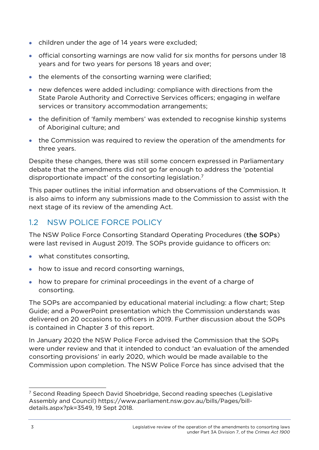- children under the age of 14 years were excluded;
- official consorting warnings are now valid for six months for persons under 18 years and for two years for persons 18 years and over;
- the elements of the consorting warning were clarified;
- new defences were added including: compliance with directions from the State Parole Authority and Corrective Services officers; engaging in welfare services or transitory accommodation arrangements;
- the definition of 'family members' was extended to recognise kinship systems of Aboriginal culture; and
- the Commission was required to review the operation of the amendments for three years.

Despite these changes, there was still some concern expressed in Parliamentary debate that the amendments did not go far enough to address the 'potential disproportionate impact' of the consorting legislation.7

This paper outlines the initial information and observations of the Commission. It is also aims to inform any submissions made to the Commission to assist with the next stage of its review of the amending Act.

# 1.2 NSW POLICE FORCE POLICY

The NSW Police Force Consorting Standard Operating Procedures (the SOPs) were last revised in August 2019. The SOPs provide guidance to officers on:

- what constitutes consorting,
- how to issue and record consorting warnings,
- how to prepare for criminal proceedings in the event of a charge of consorting.

The SOPs are accompanied by educational material including: a flow chart; Step Guide; and a PowerPoint presentation which the Commission understands was delivered on 20 occasions to officers in 2019. Further discussion about the SOPs is contained in Chapter 3 of this report.

In January 2020 the NSW Police Force advised the Commission that the SOPs were under review and that it intended to conduct 'an evaluation of the amended consorting provisions' in early 2020, which would be made available to the Commission upon completion. The NSW Police Force has since advised that the

 $\overline{a}$ 

<sup>7</sup> Second Reading Speech David Shoebridge, Second reading speeches (Legislative Assembly and Council) https://www.parliament.nsw.gov.au/bills/Pages/billdetails.aspx?pk=3549, 19 Sept 2018.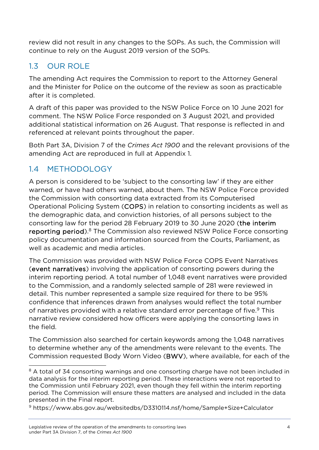review did not result in any changes to the SOPs. As such, the Commission will continue to rely on the August 2019 version of the SOPs.

# 1.3 OUR ROLE

The amending Act requires the Commission to report to the Attorney General and the Minister for Police on the outcome of the review as soon as practicable after it is completed.

A draft of this paper was provided to the NSW Police Force on 10 June 2021 for comment. The NSW Police Force responded on 3 August 2021, and provided additional statistical information on 26 August. That response is reflected in and referenced at relevant points throughout the paper.

Both Part 3A, Division 7 of the *Crimes Act 1900* and the relevant provisions of the amending Act are reproduced in full at Appendix 1.

# 1.4 METHODOLOGY

 $\overline{a}$ 

A person is considered to be 'subject to the consorting law' if they are either warned, or have had others warned, about them. The NSW Police Force provided the Commission with consorting data extracted from its Computerised Operational Policing System (COPS) in relation to consorting incidents as well as the demographic data, and conviction histories, of all persons subject to the consorting law for the period 28 February 2019 to 30 June 2020 (the interim reporting period).<sup>8</sup> The Commission also reviewed NSW Police Force consorting policy documentation and information sourced from the Courts, Parliament, as well as academic and media articles.

The Commission was provided with NSW Police Force COPS Event Narratives (event narratives) involving the application of consorting powers during the interim reporting period. A total number of 1,048 event narratives were provided to the Commission, and a randomly selected sample of 281 were reviewed in detail. This number represented a sample size required for there to be 95% confidence that inferences drawn from analyses would reflect the total number of narratives provided with a relative standard error percentage of five.<sup>9</sup> This narrative review considered how officers were applying the consorting laws in the field.

The Commission also searched for certain keywords among the 1,048 narratives to determine whether any of the amendments were relevant to the events. The Commission requested Body Worn Video (BWV), where available, for each of the

<sup>&</sup>lt;sup>8</sup> A total of 34 consorting warnings and one consorting charge have not been included in data analysis for the interim reporting period. These interactions were not reported to the Commission until February 2021, even though they fell within the interim reporting period. The Commission will ensure these matters are analysed and included in the data presented in the Final report.

<sup>9</sup> https://www.abs.gov.au/websitedbs/D3310114.nsf/home/Sample+Size+Calculator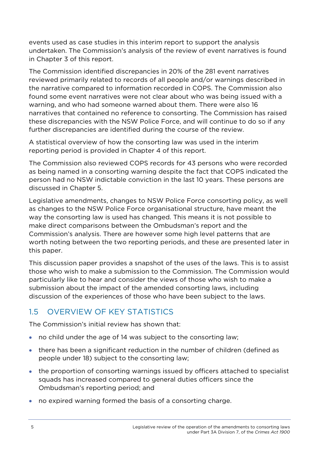events used as case studies in this interim report to support the analysis undertaken. The Commission's analysis of the review of event narratives is found in Chapter 3 of this report.

The Commission identified discrepancies in 20% of the 281 event narratives reviewed primarily related to records of all people and/or warnings described in the narrative compared to information recorded in COPS. The Commission also found some event narratives were not clear about who was being issued with a warning, and who had someone warned about them. There were also 16 narratives that contained no reference to consorting. The Commission has raised these discrepancies with the NSW Police Force, and will continue to do so if any further discrepancies are identified during the course of the review.

A statistical overview of how the consorting law was used in the interim reporting period is provided in Chapter 4 of this report.

The Commission also reviewed COPS records for 43 persons who were recorded as being named in a consorting warning despite the fact that COPS indicated the person had no NSW indictable conviction in the last 10 years. These persons are discussed in Chapter 5.

Legislative amendments, changes to NSW Police Force consorting policy, as well as changes to the NSW Police Force organisational structure, have meant the way the consorting law is used has changed. This means it is not possible to make direct comparisons between the Ombudsman's report and the Commission's analysis. There are however some high level patterns that are worth noting between the two reporting periods, and these are presented later in this paper.

This discussion paper provides a snapshot of the uses of the laws. This is to assist those who wish to make a submission to the Commission. The Commission would particularly like to hear and consider the views of those who wish to make a submission about the impact of the amended consorting laws, including discussion of the experiences of those who have been subject to the laws.

# 1.5 OVERVIEW OF KEY STATISTICS

The Commission's initial review has shown that:

- no child under the age of 14 was subject to the consorting law;
- there has been a significant reduction in the number of children (defined as people under 18) subject to the consorting law;
- the proportion of consorting warnings issued by officers attached to specialist squads has increased compared to general duties officers since the Ombudsman's reporting period; and
- no expired warning formed the basis of a consorting charge.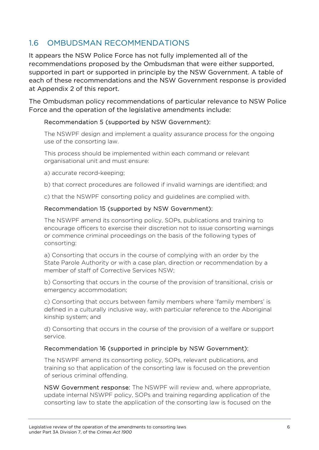# 1.6 OMBUDSMAN RECOMMENDATIONS

It appears the NSW Police Force has not fully implemented all of the recommendations proposed by the Ombudsman that were either supported, supported in part or supported in principle by the NSW Government. A table of each of these recommendations and the NSW Government response is provided at Appendix 2 of this report.

The Ombudsman policy recommendations of particular relevance to NSW Police Force and the operation of the legislative amendments include:

#### Recommendation 5 (supported by NSW Government):

The NSWPF design and implement a quality assurance process for the ongoing use of the consorting law.

This process should be implemented within each command or relevant organisational unit and must ensure:

- a) accurate record-keeping;
- b) that correct procedures are followed if invalid warnings are identified; and

c) that the NSWPF consorting policy and guidelines are complied with.

#### Recommendation 15 (supported by NSW Government):

The NSWPF amend its consorting policy, SOPs, publications and training to encourage officers to exercise their discretion not to issue consorting warnings or commence criminal proceedings on the basis of the following types of consorting:

a) Consorting that occurs in the course of complying with an order by the State Parole Authority or with a case plan, direction or recommendation by a member of staff of Corrective Services NSW;

b) Consorting that occurs in the course of the provision of transitional, crisis or emergency accommodation;

c) Consorting that occurs between family members where 'family members' is defined in a culturally inclusive way, with particular reference to the Aboriginal kinship system; and

d) Consorting that occurs in the course of the provision of a welfare or support service.

#### Recommendation 16 (supported in principle by NSW Government):

The NSWPF amend its consorting policy, SOPs, relevant publications, and training so that application of the consorting law is focused on the prevention of serious criminal offending.

NSW Government response: The NSWPF will review and, where appropriate, update internal NSWPF policy, SOPs and training regarding application of the consorting law to state the application of the consorting law is focused on the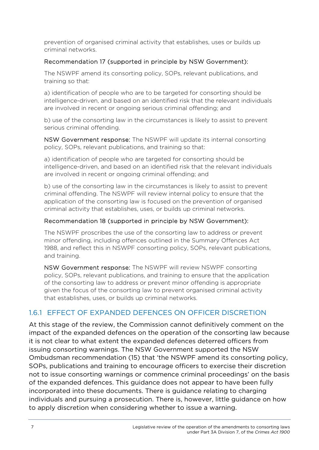prevention of organised criminal activity that establishes, uses or builds up criminal networks.

#### Recommendation 17 (supported in principle by NSW Government):

The NSWPF amend its consorting policy, SOPs, relevant publications, and training so that:

a) identification of people who are to be targeted for consorting should be intelligence-driven, and based on an identified risk that the relevant individuals are involved in recent or ongoing serious criminal offending; and

b) use of the consorting law in the circumstances is likely to assist to prevent serious criminal offending.

NSW Government response: The NSWPF will update its internal consorting policy, SOPs, relevant publications, and training so that:

a) identification of people who are targeted for consorting should be intelligence-driven, and based on an identified risk that the relevant individuals are involved in recent or ongoing criminal offending; and

b) use of the consorting law in the circumstances is likely to assist to prevent criminal offending. The NSWPF will review internal policy to ensure that the application of the consorting law is focused on the prevention of organised criminal activity that establishes, uses, or builds up criminal networks.

#### Recommendation 18 (supported in principle by NSW Government):

The NSWPF proscribes the use of the consorting law to address or prevent minor offending, including offences outlined in the Summary Offences Act 1988, and reflect this in NSWPF consorting policy, SOPs, relevant publications, and training.

NSW Government response: The NSWPF will review NSWPF consorting policy, SOPs, relevant publications, and training to ensure that the application of the consorting law to address or prevent minor offending is appropriate given the focus of the consorting law to prevent organised criminal activity that establishes, uses, or builds up criminal networks.

### 1.6.1 EFFECT OF EXPANDED DEFENCES ON OFFICER DISCRETION

At this stage of the review, the Commission cannot definitively comment on the impact of the expanded defences on the operation of the consorting law because it is not clear to what extent the expanded defences deterred officers from issuing consorting warnings. The NSW Government supported the NSW Ombudsman recommendation (15) that 'the NSWPF amend its consorting policy, SOPs, publications and training to encourage officers to exercise their discretion not to issue consorting warnings or commence criminal proceedings' on the basis of the expanded defences. This guidance does not appear to have been fully incorporated into these documents. There is guidance relating to charging individuals and pursuing a prosecution. There is, however, little guidance on how to apply discretion when considering whether to issue a warning.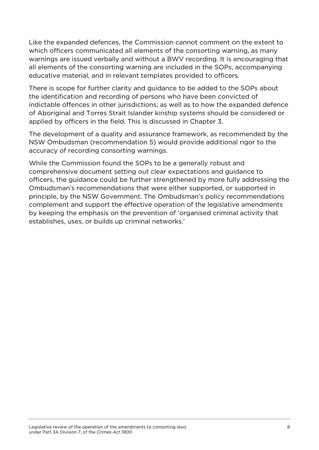Like the expanded defences, the Commission cannot comment on the extent to which officers communicated all elements of the consorting warning, as many warnings are issued verbally and without a BWV recording. It is encouraging that all elements of the consorting warning are included in the SOPs, accompanying educative material, and in relevant templates provided to officers.

There is scope for further clarity and guidance to be added to the SOPs about the identification and recording of persons who have been convicted of indictable offences in other jurisdictions; as well as to how the expanded defence of Aboriginal and Torres Strait Islander kinship systems should be considered or applied by officers in the field. This is discussed in Chapter 3.

The development of a quality and assurance framework, as recommended by the NSW Ombudsman (recommendation 5) would provide additional rigor to the accuracy of recording consorting warnings.

While the Commission found the SOPs to be a generally robust and comprehensive document setting out clear expectations and guidance to officers, the guidance could be further strengthened by more fully addressing the Ombudsman's recommendations that were either supported, or supported in principle, by the NSW Government. The Ombudsman's policy recommendations complement and support the effective operation of the legislative amendments by keeping the emphasis on the prevention of 'organised criminal activity that establishes, uses, or builds up criminal networks.'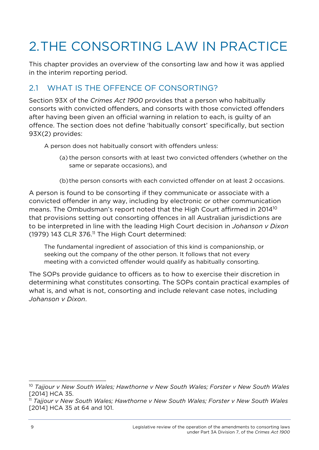# 2.THE CONSORTING LAW IN PRACTICE

This chapter provides an overview of the consorting law and how it was applied in the interim reporting period.

# 2.1 WHAT IS THE OFFENCE OF CONSORTING?

Section 93X of the *Crimes Act 1900* provides that a person who habitually consorts with convicted offenders, and consorts with those convicted offenders after having been given an official warning in relation to each, is guilty of an offence. The section does not define 'habitually consort' specifically, but section 93X(2) provides:

A person does not habitually consort with offenders unless:

- (a) the person consorts with at least two convicted offenders (whether on the same or separate occasions), and
- (b)the person consorts with each convicted offender on at least 2 occasions.

A person is found to be consorting if they communicate or associate with a convicted offender in any way, including by electronic or other communication means. The Ombudsman's report noted that the High Court affirmed in 2014<sup>10</sup> that provisions setting out consorting offences in all Australian jurisdictions are to be interpreted in line with the leading High Court decision in *Johanson v Dixon*  (1979) 143 CLR 376.<sup>11</sup> The High Court determined:

The fundamental ingredient of association of this kind is companionship, or seeking out the company of the other person. It follows that not every meeting with a convicted offender would qualify as habitually consorting.

The SOPs provide guidance to officers as to how to exercise their discretion in determining what constitutes consorting. The SOPs contain practical examples of what is, and what is not, consorting and include relevant case notes, including *Johanson v Dixon*.

<sup>1</sup> <sup>10</sup> *Tajjour v New South Wales; Hawthorne v New South Wales; Forster v New South Wales*  [2014] HCA 35.

<sup>11</sup> *Tajjour v New South Wales; Hawthorne v New South Wales; Forster v New South Wales*  [2014] HCA 35 at 64 and 101.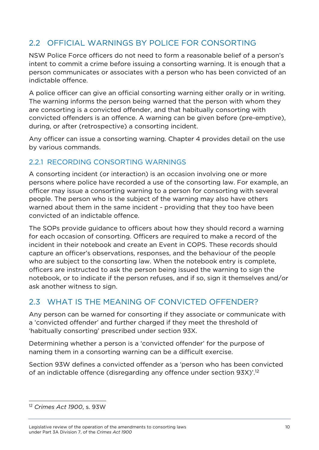# 2.2 OFFICIAL WARNINGS BY POLICE FOR CONSORTING

NSW Police Force officers do not need to form a reasonable belief of a person's intent to commit a crime before issuing a consorting warning. It is enough that a person communicates or associates with a person who has been convicted of an indictable offence.

A police officer can give an official consorting warning either orally or in writing. The warning informs the person being warned that the person with whom they are consorting is a convicted offender, and that habitually consorting with convicted offenders is an offence. A warning can be given before (pre-emptive), during, or after (retrospective) a consorting incident.

Any officer can issue a consorting warning. Chapter 4 provides detail on the use by various commands.

### 2.2.1 RECORDING CONSORTING WARNINGS

A consorting incident (or interaction) is an occasion involving one or more persons where police have recorded a use of the consorting law. For example, an officer may issue a consorting warning to a person for consorting with several people. The person who is the subject of the warning may also have others warned about them in the same incident - providing that they too have been convicted of an indictable offence.

The SOPs provide guidance to officers about how they should record a warning for each occasion of consorting. Officers are required to make a record of the incident in their notebook and create an Event in COPS. These records should capture an officer's observations, responses, and the behaviour of the people who are subject to the consorting law. When the notebook entry is complete, officers are instructed to ask the person being issued the warning to sign the notebook, or to indicate if the person refuses, and if so, sign it themselves and/or ask another witness to sign.

# 2.3 WHAT IS THE MEANING OF CONVICTED OFFENDER?

Any person can be warned for consorting if they associate or communicate with a 'convicted offender' and further charged if they meet the threshold of 'habitually consorting' prescribed under section 93X.

Determining whether a person is a 'convicted offender' for the purpose of naming them in a consorting warning can be a difficult exercise.

Section 93W defines a convicted offender as a 'person who has been convicted of an indictable offence (disregarding any offence under section 93X)'.12

 $\overline{a}$ 

<sup>12</sup> *Crimes Act 1900*, s. 93W

Legislative review of the operation of the amendments to consorting laws 10 under Part 3A Division 7, of the *Crimes Act 1900*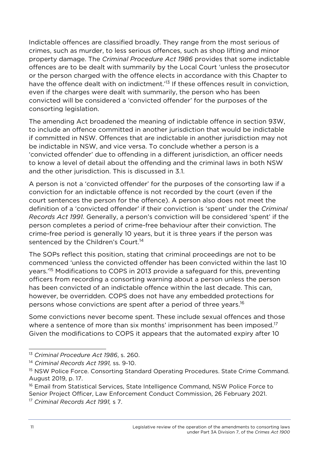Indictable offences are classified broadly. They range from the most serious of crimes, such as murder, to less serious offences, such as shop lifting and minor property damage. The *Criminal Procedure Act 1986* provides that some indictable offences are to be dealt with summarily by the Local Court 'unless the prosecutor or the person charged with the offence elects in accordance with this Chapter to have the offence dealt with on indictment.<sup>13</sup> If these offences result in conviction, even if the charges were dealt with summarily, the person who has been convicted will be considered a 'convicted offender' for the purposes of the consorting legislation.

The amending Act broadened the meaning of indictable offence in section 93W, to include an offence committed in another jurisdiction that would be indictable if committed in NSW. Offences that are indictable in another jurisdiction may not be indictable in NSW, and vice versa. To conclude whether a person is a 'convicted offender' due to offending in a different jurisdiction, an officer needs to know a level of detail about the offending and the criminal laws in both NSW and the other jurisdiction. This is discussed in 3.1.

A person is not a 'convicted offender' for the purposes of the consorting law if a conviction for an indictable offence is not recorded by the court (even if the court sentences the person for the offence). A person also does not meet the definition of a 'convicted offender' if their conviction is 'spent' under the *Criminal Records Act 1991.* Generally, a person's conviction will be considered 'spent' if the person completes a period of crime-free behaviour after their conviction. The crime-free period is generally 10 years, but it is three years if the person was sentenced by the Children's Court.<sup>14</sup>

The SOPs reflect this position, stating that criminal proceedings are not to be commenced 'unless the convicted offender has been convicted within the last 10 years.'15 Modifications to COPS in 2013 provide a safeguard for this, preventing officers from recording a consorting warning about a person unless the person has been convicted of an indictable offence within the last decade. This can, however, be overridden. COPS does not have any embedded protections for persons whose convictions are spent after a period of three years.16

Some convictions never become spent. These include sexual offences and those where a sentence of more than six months' imprisonment has been imposed.<sup>17</sup> Given the modifications to COPS it appears that the automated expiry after 10

1

<sup>13</sup> *Criminal Procedure Act 1986*, s. 260.

<sup>14</sup> *Criminal Records Act 1991,* ss. 9-10.

<sup>&</sup>lt;sup>15</sup> NSW Police Force. Consorting Standard Operating Procedures. State Crime Command. August 2019, p. 17.

<sup>&</sup>lt;sup>16</sup> Email from Statistical Services, State Intelligence Command, NSW Police Force to Senior Project Officer, Law Enforcement Conduct Commission, 26 February 2021.

<sup>17</sup> *Criminal Records Act 1991,* s 7.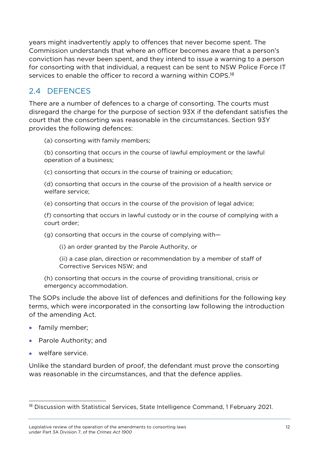years might inadvertently apply to offences that never become spent. The Commission understands that where an officer becomes aware that a person's conviction has never been spent, and they intend to issue a warning to a person for consorting with that individual, a request can be sent to NSW Police Force IT services to enable the officer to record a warning within COPS.<sup>18</sup>

# 2.4 DEFENCES

There are a number of defences to a charge of consorting. The courts must disregard the charge for the purpose of section 93X if the defendant satisfies the court that the consorting was reasonable in the circumstances. Section 93Y provides the following defences:

(a) consorting with family members;

(b) consorting that occurs in the course of lawful employment or the lawful operation of a business;

(c) consorting that occurs in the course of training or education;

(d) consorting that occurs in the course of the provision of a health service or welfare service;

(e) consorting that occurs in the course of the provision of legal advice;

(f) consorting that occurs in lawful custody or in the course of complying with a court order;

(g) consorting that occurs in the course of complying with—

(i) an order granted by the Parole Authority, or

(ii) a case plan, direction or recommendation by a member of staff of Corrective Services NSW; and

(h) consorting that occurs in the course of providing transitional, crisis or emergency accommodation.

The SOPs include the above list of defences and definitions for the following key terms, which were incorporated in the consorting law following the introduction of the amending Act.

- family member;
- Parole Authority; and
- welfare service.

 $\overline{a}$ 

Unlike the standard burden of proof, the defendant must prove the consorting was reasonable in the circumstances, and that the defence applies.

<sup>&</sup>lt;sup>18</sup> Discussion with Statistical Services, State Intelligence Command, 1 February 2021.

Legislative review of the operation of the amendments to consorting laws 12 under Part 3A Division 7, of the *Crimes Act 1900*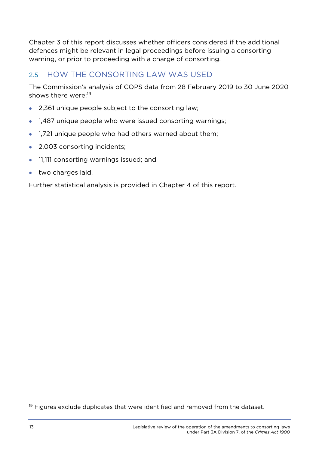Chapter 3 of this report discusses whether officers considered if the additional defences might be relevant in legal proceedings before issuing a consorting warning, or prior to proceeding with a charge of consorting.

# 2.5 HOW THE CONSORTING LAW WAS USED

The Commission's analysis of COPS data from 28 February 2019 to 30 June 2020 shows there were:<sup>19</sup>

- 2,361 unique people subject to the consorting law;
- 1,487 unique people who were issued consorting warnings;
- 1,721 unique people who had others warned about them;
- 2,003 consorting incidents;
- 11,111 consorting warnings issued; and
- two charges laid.

Further statistical analysis is provided in Chapter 4 of this report.

 $\overline{a}$  $19$  Figures exclude duplicates that were identified and removed from the dataset.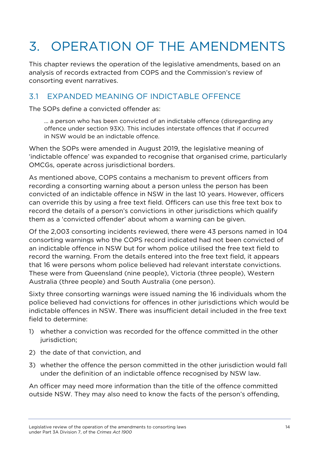# 3. OPERATION OF THE AMENDMENTS

This chapter reviews the operation of the legislative amendments, based on an analysis of records extracted from COPS and the Commission's review of consorting event narratives.

# 3.1 EXPANDED MEANING OF INDICTABLE OFFENCE

The SOPs define a convicted offender as:

… a person who has been convicted of an indictable offence (disregarding any offence under section 93X). This includes interstate offences that if occurred in NSW would be an indictable offence.

When the SOPs were amended in August 2019, the legislative meaning of 'indictable offence' was expanded to recognise that organised crime, particularly OMCGs, operate across jurisdictional borders.

As mentioned above, COPS contains a mechanism to prevent officers from recording a consorting warning about a person unless the person has been convicted of an indictable offence in NSW in the last 10 years. However, officers can override this by using a free text field. Officers can use this free text box to record the details of a person's convictions in other jurisdictions which qualify them as a 'convicted offender' about whom a warning can be given.

Of the 2,003 consorting incidents reviewed, there were 43 persons named in 104 consorting warnings who the COPS record indicated had not been convicted of an indictable offence in NSW but for whom police utilised the free text field to record the warning. From the details entered into the free text field, it appears that 16 were persons whom police believed had relevant interstate convictions. These were from Queensland (nine people), Victoria (three people), Western Australia (three people) and South Australia (one person).

Sixty three consorting warnings were issued naming the 16 individuals whom the police believed had convictions for offences in other jurisdictions which would be indictable offences in NSW. There was insufficient detail included in the free text field to determine:

- 1) whether a conviction was recorded for the offence committed in the other jurisdiction;
- 2) the date of that conviction, and
- 3) whether the offence the person committed in the other jurisdiction would fall under the definition of an indictable offence recognised by NSW law.

An officer may need more information than the title of the offence committed outside NSW. They may also need to know the facts of the person's offending,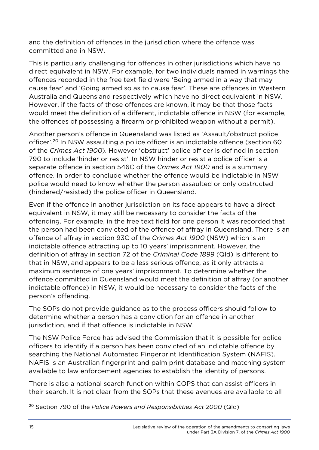and the definition of offences in the jurisdiction where the offence was committed and in NSW.

This is particularly challenging for offences in other jurisdictions which have no direct equivalent in NSW. For example, for two individuals named in warnings the offences recorded in the free text field were 'Being armed in a way that may cause fear' and 'Going armed so as to cause fear'. These are offences in Western Australia and Queensland respectively which have no direct equivalent in NSW. However, if the facts of those offences are known, it may be that those facts would meet the definition of a different, indictable offence in NSW (for example, the offences of possessing a firearm or prohibited weapon without a permit).

Another person's offence in Queensland was listed as 'Assault/obstruct police officer'.20 In NSW assaulting a police officer is an indictable offence (section 60 of the *Crimes Act 1900*). However 'obstruct' police officer is defined in section 790 to include 'hinder or resist'. In NSW hinder or resist a police officer is a separate offence in section 546C of the *Crimes Act 1900* and is a summary offence. In order to conclude whether the offence would be indictable in NSW police would need to know whether the person assaulted or only obstructed (hindered/resisted) the police officer in Queensland.

Even if the offence in another jurisdiction on its face appears to have a direct equivalent in NSW, it may still be necessary to consider the facts of the offending. For example, in the free text field for one person it was recorded that the person had been convicted of the offence of affray in Queensland. There is an offence of affray in section 93C of the *Crimes Act 1900* (NSW) which is an indictable offence attracting up to 10 years' imprisonment. However, the definition of affray in section 72 of the *Criminal Code 1899* (Qld) is different to that in NSW, and appears to be a less serious offence, as it only attracts a maximum sentence of one years' imprisonment. To determine whether the offence committed in Queensland would meet the definition of affray (or another indictable offence) in NSW, it would be necessary to consider the facts of the person's offending.

The SOPs do not provide guidance as to the process officers should follow to determine whether a person has a conviction for an offence in another jurisdiction, and if that offence is indictable in NSW.

The NSW Police Force has advised the Commission that it is possible for police officers to identify if a person has been convicted of an indictable offence by searching the National Automated Fingerprint Identification System (NAFIS). NAFIS is an Australian fingerprint and palm print database and matching system available to law enforcement agencies to establish the identity of persons.

There is also a national search function within COPS that can assist officers in their search. It is not clear from the SOPs that these avenues are available to all

 $\overline{a}$ 20 Section 790 of the *Police Powers and Responsibilities Act 2000* (Qld)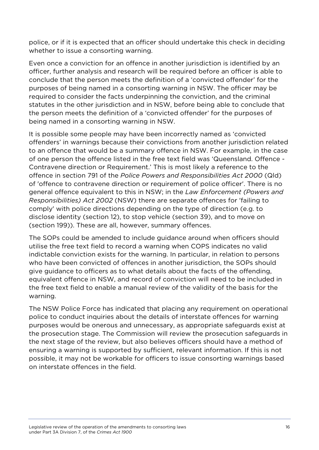police, or if it is expected that an officer should undertake this check in deciding whether to issue a consorting warning.

Even once a conviction for an offence in another jurisdiction is identified by an officer, further analysis and research will be required before an officer is able to conclude that the person meets the definition of a 'convicted offender' for the purposes of being named in a consorting warning in NSW. The officer may be required to consider the facts underpinning the conviction, and the criminal statutes in the other jurisdiction and in NSW, before being able to conclude that the person meets the definition of a 'convicted offender' for the purposes of being named in a consorting warning in NSW.

It is possible some people may have been incorrectly named as 'convicted offenders' in warnings because their convictions from another jurisdiction related to an offence that would be a summary offence in NSW. For example, in the case of one person the offence listed in the free text field was 'Queensland. Offence - Contravene direction or Requirement.' This is most likely a reference to the offence in section 791 of the *Police Powers and Responsibilities Act 2000* (Qld) of 'offence to contravene direction or requirement of police officer'. There is no general offence equivalent to this in NSW; in the *Law Enforcement (Powers and Responsibilities) Act 2002* (NSW) there are separate offences for 'failing to comply' with police directions depending on the type of direction (e.g. to disclose identity (section 12), to stop vehicle (section 39), and to move on (section 199)). These are all, however, summary offences.

The SOPs could be amended to include guidance around when officers should utilise the free text field to record a warning when COPS indicates no valid indictable conviction exists for the warning. In particular, in relation to persons who have been convicted of offences in another jurisdiction, the SOPs should give guidance to officers as to what details about the facts of the offending, equivalent offence in NSW, and record of conviction will need to be included in the free text field to enable a manual review of the validity of the basis for the warning.

The NSW Police Force has indicated that placing any requirement on operational police to conduct inquiries about the details of interstate offences for warning purposes would be onerous and unnecessary, as appropriate safeguards exist at the prosecution stage. The Commission will review the prosecution safeguards in the next stage of the review, but also believes officers should have a method of ensuring a warning is supported by sufficient, relevant information. If this is not possible, it may not be workable for officers to issue consorting warnings based on interstate offences in the field.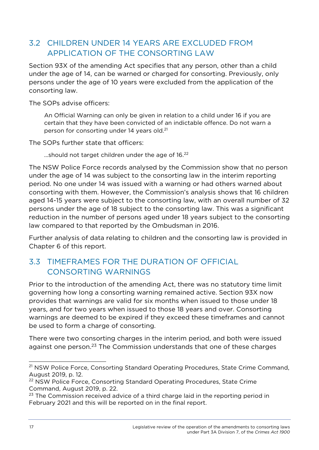# 3.2 CHILDREN UNDER 14 YEARS ARE EXCLUDED FROM APPLICATION OF THE CONSORTING LAW

Section 93X of the amending Act specifies that any person, other than a child under the age of 14, can be warned or charged for consorting. Previously, only persons under the age of 10 years were excluded from the application of the consorting law.

The SOPs advise officers:

An Official Warning can only be given in relation to a child under 16 if you are certain that they have been convicted of an indictable offence. Do not warn a person for consorting under 14 years old.21

The SOPs further state that officers:

... should not target children under the age of  $16.22$ 

The NSW Police Force records analysed by the Commission show that no person under the age of 14 was subject to the consorting law in the interim reporting period. No one under 14 was issued with a warning or had others warned about consorting with them. However, the Commission's analysis shows that 16 children aged 14-15 years were subject to the consorting law, with an overall number of 32 persons under the age of 18 subject to the consorting law. This was a significant reduction in the number of persons aged under 18 years subject to the consorting law compared to that reported by the Ombudsman in 2016.

Further analysis of data relating to children and the consorting law is provided in Chapter 6 of this report.

# 3.3 TIMEFRAMES FOR THE DURATION OF OFFICIAL CONSORTING WARNINGS

Prior to the introduction of the amending Act, there was no statutory time limit governing how long a consorting warning remained active. Section 93X now provides that warnings are valid for six months when issued to those under 18 years, and for two years when issued to those 18 years and over. Consorting warnings are deemed to be expired if they exceed these timeframes and cannot be used to form a charge of consorting.

There were two consorting charges in the interim period, and both were issued against one person.<sup>23</sup> The Commission understands that one of these charges

<sup>1</sup> <sup>21</sup> NSW Police Force, Consorting Standard Operating Procedures, State Crime Command, August 2019, p. 12.

<sup>&</sup>lt;sup>22</sup> NSW Police Force, Consorting Standard Operating Procedures, State Crime Command, August 2019, p. 22.

 $23$  The Commission received advice of a third charge laid in the reporting period in February 2021 and this will be reported on in the final report.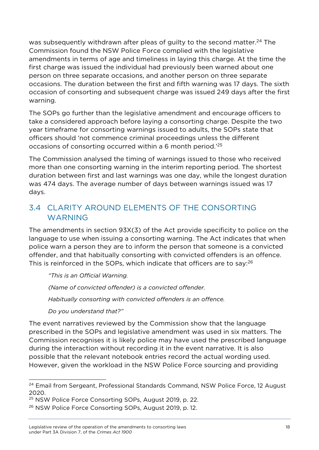was subsequently withdrawn after pleas of guilty to the second matter.<sup>24</sup> The Commission found the NSW Police Force complied with the legislative amendments in terms of age and timeliness in laying this charge. At the time the first charge was issued the individual had previously been warned about one person on three separate occasions, and another person on three separate occasions. The duration between the first and fifth warning was 17 days. The sixth occasion of consorting and subsequent charge was issued 249 days after the first warning.

The SOPs go further than the legislative amendment and encourage officers to take a considered approach before laying a consorting charge. Despite the two year timeframe for consorting warnings issued to adults, the SOPs state that officers should 'not commence criminal proceedings unless the different occasions of consorting occurred within a 6 month period.'25

The Commission analysed the timing of warnings issued to those who received more than one consorting warning in the interim reporting period. The shortest duration between first and last warnings was one day, while the longest duration was 474 days. The average number of days between warnings issued was 17 days.

# 3.4 CLARITY AROUND ELEMENTS OF THE CONSORTING WARNING

The amendments in section 93X(3) of the Act provide specificity to police on the language to use when issuing a consorting warning. The Act indicates that when police warn a person they are to inform the person that someone is a convicted offender, and that habitually consorting with convicted offenders is an offence. This is reinforced in the SOPs, which indicate that officers are to say:<sup>26</sup>

*"This is an Official Warning.* 

*(Name of convicted offender) is a convicted offender.* 

*Habitually consorting with convicted offenders is an offence.* 

*Do you understand that?"* 

-

The event narratives reviewed by the Commission show that the language prescribed in the SOPs and legislative amendment was used in six matters. The Commission recognises it is likely police may have used the prescribed language during the interaction without recording it in the event narrative. It is also possible that the relevant notebook entries record the actual wording used. However, given the workload in the NSW Police Force sourcing and providing

<sup>&</sup>lt;sup>24</sup> Email from Sergeant, Professional Standards Command, NSW Police Force, 12 August 2020.

<sup>&</sup>lt;sup>25</sup> NSW Police Force Consorting SOPs, August 2019, p. 22.

<sup>&</sup>lt;sup>26</sup> NSW Police Force Consorting SOPs, August 2019, p. 12.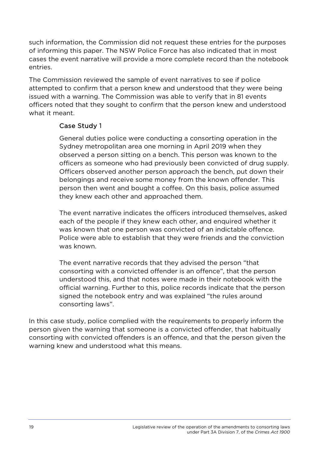such information, the Commission did not request these entries for the purposes of informing this paper. The NSW Police Force has also indicated that in most cases the event narrative will provide a more complete record than the notebook entries.

The Commission reviewed the sample of event narratives to see if police attempted to confirm that a person knew and understood that they were being issued with a warning. The Commission was able to verify that in 81 events officers noted that they sought to confirm that the person knew and understood what it meant.

#### Case Study 1

General duties police were conducting a consorting operation in the Sydney metropolitan area one morning in April 2019 when they observed a person sitting on a bench. This person was known to the officers as someone who had previously been convicted of drug supply. Officers observed another person approach the bench, put down their belongings and receive some money from the known offender. This person then went and bought a coffee. On this basis, police assumed they knew each other and approached them.

The event narrative indicates the officers introduced themselves, asked each of the people if they knew each other, and enquired whether it was known that one person was convicted of an indictable offence. Police were able to establish that they were friends and the conviction was known.

The event narrative records that they advised the person "that consorting with a convicted offender is an offence", that the person understood this, and that notes were made in their notebook with the official warning. Further to this, police records indicate that the person signed the notebook entry and was explained "the rules around consorting laws".

In this case study, police complied with the requirements to properly inform the person given the warning that someone is a convicted offender, that habitually consorting with convicted offenders is an offence, and that the person given the warning knew and understood what this means.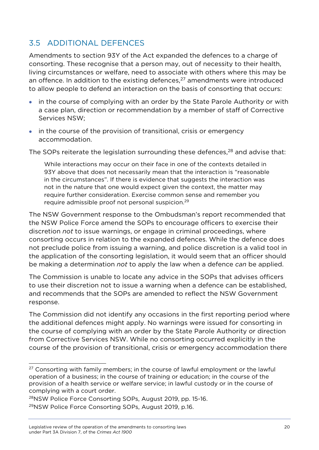# 3.5 ADDITIONAL DEFENCES

Amendments to section 93Y of the Act expanded the defences to a charge of consorting. These recognise that a person may, out of necessity to their health, living circumstances or welfare, need to associate with others where this may be an offence. In addition to the existing defences, $27$  amendments were introduced to allow people to defend an interaction on the basis of consorting that occurs:

- in the course of complying with an order by the State Parole Authority or with a case plan, direction or recommendation by a member of staff of Corrective Services NSW;
- in the course of the provision of transitional, crisis or emergency accommodation.

The SOPs reiterate the legislation surrounding these defences,<sup>28</sup> and advise that:

While interactions may occur on their face in one of the contexts detailed in 93Y above that does not necessarily mean that the interaction is "reasonable in the circumstances". If there is evidence that suggests the interaction was not in the nature that one would expect given the context, the matter may require further consideration. Exercise common sense and remember you require admissible proof not personal suspicion.29

The NSW Government response to the Ombudsman's report recommended that the NSW Police Force amend the SOPs to encourage officers to exercise their discretion *not* to issue warnings, or engage in criminal proceedings, where consorting occurs in relation to the expanded defences. While the defence does not preclude police from issuing a warning, and police discretion is a valid tool in the application of the consorting legislation, it would seem that an officer should be making a determination *not* to apply the law when a defence *can* be applied.

The Commission is unable to locate any advice in the SOPs that advises officers to use their discretion not to issue a warning when a defence can be established, and recommends that the SOPs are amended to reflect the NSW Government response.

The Commission did not identify any occasions in the first reporting period where the additional defences might apply. No warnings were issued for consorting in the course of complying with an order by the State Parole Authority or direction from Corrective Services NSW. While no consorting occurred explicitly in the course of the provision of transitional, crisis or emergency accommodation there

-

 $27$  Consorting with family members; in the course of lawful employment or the lawful operation of a business; in the course of training or education; in the course of the provision of a health service or welfare service; in lawful custody or in the course of complying with a court order.

<sup>28</sup>NSW Police Force Consorting SOPs, August 2019, pp. 15-16.

<sup>29</sup>NSW Police Force Consorting SOPs, August 2019, p.16.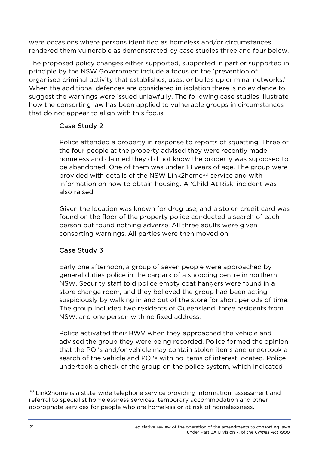were occasions where persons identified as homeless and/or circumstances rendered them vulnerable as demonstrated by case studies three and four below.

The proposed policy changes either supported, supported in part or supported in principle by the NSW Government include a focus on the 'prevention of organised criminal activity that establishes, uses, or builds up criminal networks.' When the additional defences are considered in isolation there is no evidence to suggest the warnings were issued unlawfully. The following case studies illustrate how the consorting law has been applied to vulnerable groups in circumstances that do not appear to align with this focus.

### Case Study 2

Police attended a property in response to reports of squatting. Three of the four people at the property advised they were recently made homeless and claimed they did not know the property was supposed to be abandoned. One of them was under 18 years of age. The group were provided with details of the NSW Link2home<sup>30</sup> service and with information on how to obtain housing. A 'Child At Risk' incident was also raised.

Given the location was known for drug use, and a stolen credit card was found on the floor of the property police conducted a search of each person but found nothing adverse. All three adults were given consorting warnings. All parties were then moved on.

### Case Study 3

Early one afternoon, a group of seven people were approached by general duties police in the carpark of a shopping centre in northern NSW. Security staff told police empty coat hangers were found in a store change room, and they believed the group had been acting suspiciously by walking in and out of the store for short periods of time. The group included two residents of Queensland, three residents from NSW, and one person with no fixed address.

Police activated their BWV when they approached the vehicle and advised the group they were being recorded. Police formed the opinion that the POI's and/or vehicle may contain stolen items and undertook a search of the vehicle and POI's with no items of interest located. Police undertook a check of the group on the police system, which indicated

<sup>1</sup> <sup>30</sup> Link2home is a state-wide telephone service providing information, assessment and referral to specialist homelessness services, temporary accommodation and other appropriate services for people who are homeless or at risk of homelessness.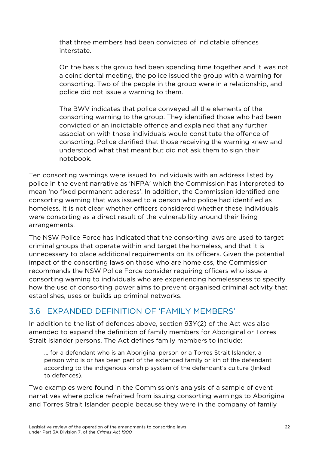that three members had been convicted of indictable offences interstate.

On the basis the group had been spending time together and it was not a coincidental meeting, the police issued the group with a warning for consorting. Two of the people in the group were in a relationship, and police did not issue a warning to them.

The BWV indicates that police conveyed all the elements of the consorting warning to the group. They identified those who had been convicted of an indictable offence and explained that any further association with those individuals would constitute the offence of consorting. Police clarified that those receiving the warning knew and understood what that meant but did not ask them to sign their notebook.

Ten consorting warnings were issued to individuals with an address listed by police in the event narrative as 'NFPA' which the Commission has interpreted to mean 'no fixed permanent address'. In addition, the Commission identified one consorting warning that was issued to a person who police had identified as homeless. It is not clear whether officers considered whether these individuals were consorting as a direct result of the vulnerability around their living arrangements.

The NSW Police Force has indicated that the consorting laws are used to target criminal groups that operate within and target the homeless, and that it is unnecessary to place additional requirements on its officers. Given the potential impact of the consorting laws on those who are homeless, the Commission recommends the NSW Police Force consider requiring officers who issue a consorting warning to individuals who are experiencing homelessness to specify how the use of consorting power aims to prevent organised criminal activity that establishes, uses or builds up criminal networks.

# 3.6 EXPANDED DEFINITION OF 'FAMILY MEMBERS'

In addition to the list of defences above, section 93Y(2) of the Act was also amended to expand the definition of family members for Aboriginal or Torres Strait Islander persons. The Act defines family members to include:

… for a defendant who is an Aboriginal person or a Torres Strait Islander, a person who is or has been part of the extended family or kin of the defendant according to the indigenous kinship system of the defendant's culture (linked to defences).

Two examples were found in the Commission's analysis of a sample of event narratives where police refrained from issuing consorting warnings to Aboriginal and Torres Strait Islander people because they were in the company of family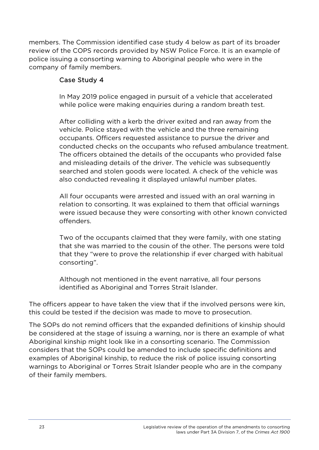members. The Commission identified case study 4 below as part of its broader review of the COPS records provided by NSW Police Force. It is an example of police issuing a consorting warning to Aboriginal people who were in the company of family members.

#### Case Study 4

In May 2019 police engaged in pursuit of a vehicle that accelerated while police were making enquiries during a random breath test.

After colliding with a kerb the driver exited and ran away from the vehicle. Police stayed with the vehicle and the three remaining occupants. Officers requested assistance to pursue the driver and conducted checks on the occupants who refused ambulance treatment. The officers obtained the details of the occupants who provided false and misleading details of the driver. The vehicle was subsequently searched and stolen goods were located. A check of the vehicle was also conducted revealing it displayed unlawful number plates.

All four occupants were arrested and issued with an oral warning in relation to consorting. It was explained to them that official warnings were issued because they were consorting with other known convicted offenders.

Two of the occupants claimed that they were family, with one stating that she was married to the cousin of the other. The persons were told that they "were to prove the relationship if ever charged with habitual consorting".

Although not mentioned in the event narrative, all four persons identified as Aboriginal and Torres Strait Islander.

The officers appear to have taken the view that if the involved persons were kin, this could be tested if the decision was made to move to prosecution.

The SOPs do not remind officers that the expanded definitions of kinship should be considered at the stage of issuing a warning, nor is there an example of what Aboriginal kinship might look like in a consorting scenario. The Commission considers that the SOPs could be amended to include specific definitions and examples of Aboriginal kinship, to reduce the risk of police issuing consorting warnings to Aboriginal or Torres Strait Islander people who are in the company of their family members.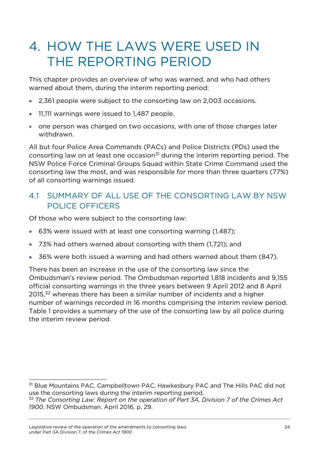# 4. HOW THE LAWS WERE USED IN THE REPORTING PERIOD

This chapter provides an overview of who was warned, and who had others warned about them, during the interim reporting period:

- 2,361 people were subject to the consorting law on 2,003 occasions.
- 11,111 warnings were issued to 1,487 people.
- one person was charged on two occasions, with one of those charges later withdrawn.

All but four Police Area Commands (PACs) and Police Districts (PDs) used the consorting law on at least one occasion $31$  during the interim reporting period. The NSW Police Force Criminal Groups Squad within State Crime Command used the consorting law the most, and was responsible for more than three quarters (77%) of all consorting warnings issued.

### 4.1 SUMMARY OF ALL USE OF THE CONSORTING LAW BY NSW POLICE OFFICERS

Of those who were subject to the consorting law:

- 63% were issued with at least one consorting warning (1,487);
- 73% had others warned about consorting with them (1,721); and
- 36% were both issued a warning and had others warned about them (847).

There has been an increase in the use of the consorting law since the Ombudsman's review period. The Ombudsman reported 1,818 incidents and 9,155 official consorting warnings in the three years between 9 April 2012 and 8 April  $2015$ ,  $32$  whereas there has been a similar number of incidents and a higher number of warnings recorded in 16 months comprising the interim review period. Table 1 provides a summary of the use of the consorting law by all police during the interim review period.

-

<sup>&</sup>lt;sup>31</sup> Blue Mountains PAC, Campbelltown PAC, Hawkesbury PAC and The Hills PAC did not use the consorting laws during the interim reporting period.

<sup>32</sup> *The Consorting Law: Report on the operation of Part 3A, Division 7 of the Crimes Act 1900*. NSW Ombudsman. April 2016, p. 29.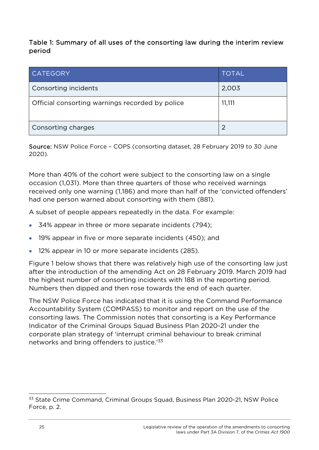#### Table 1: Summary of all uses of the consorting law during the interim review period

| CATEGORY <sup>'</sup>                           | <b>TOTAL</b> |
|-------------------------------------------------|--------------|
| Consorting incidents                            | 2,003        |
| Official consorting warnings recorded by police | 11,111       |
| Consorting charges                              |              |

Source: NSW Police Force – COPS (consorting dataset, 28 February 2019 to 30 June 2020).

More than 40% of the cohort were subject to the consorting law on a single occasion (1,031). More than three quarters of those who received warnings received only one warning (1,186) and more than half of the 'convicted offenders' had one person warned about consorting with them (881).

A subset of people appears repeatedly in the data. For example:

- 34% appear in three or more separate incidents (794);
- 19% appear in five or more separate incidents (450); and
- 12% appear in 10 or more separate incidents (285).

Figure 1 below shows that there was relatively high use of the consorting law just after the introduction of the amending Act on 28 February 2019. March 2019 had the highest number of consorting incidents with 188 in the reporting period. Numbers then dipped and then rose towards the end of each quarter.

The NSW Police Force has indicated that it is using the Command Performance Accountability System (COMPASS) to monitor and report on the use of the consorting laws. The Commission notes that consorting is a Key Performance Indicator of the Criminal Groups Squad Business Plan 2020-21 under the corporate plan strategy of 'interrupt criminal behaviour to break criminal networks and bring offenders to justice.'33

1

<sup>&</sup>lt;sup>33</sup> State Crime Command, Criminal Groups Squad, Business Plan 2020-21, NSW Police Force, p. 2.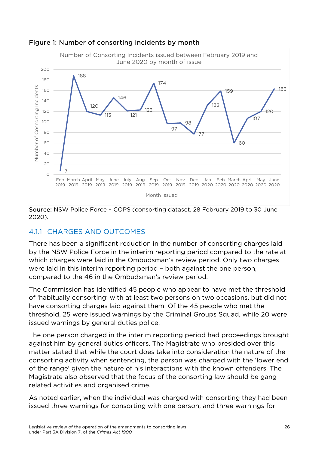

#### Figure 1: Number of consorting incidents by month

Source: NSW Police Force – COPS (consorting dataset, 28 February 2019 to 30 June 2020).

# 4.1.1 CHARGES AND OUTCOMES

There has been a significant reduction in the number of consorting charges laid by the NSW Police Force in the interim reporting period compared to the rate at which charges were laid in the Ombudsman's review period. Only two charges were laid in this interim reporting period – both against the one person, compared to the 46 in the Ombudsman's review period.

The Commission has identified 45 people who appear to have met the threshold of 'habitually consorting' with at least two persons on two occasions, but did not have consorting charges laid against them. Of the 45 people who met the threshold, 25 were issued warnings by the Criminal Groups Squad, while 20 were issued warnings by general duties police.

The one person charged in the interim reporting period had proceedings brought against him by general duties officers. The Magistrate who presided over this matter stated that while the court does take into consideration the nature of the consorting activity when sentencing, the person was charged with the 'lower end of the range' given the nature of his interactions with the known offenders. The Magistrate also observed that the focus of the consorting law should be gang related activities and organised crime.

As noted earlier, when the individual was charged with consorting they had been issued three warnings for consorting with one person, and three warnings for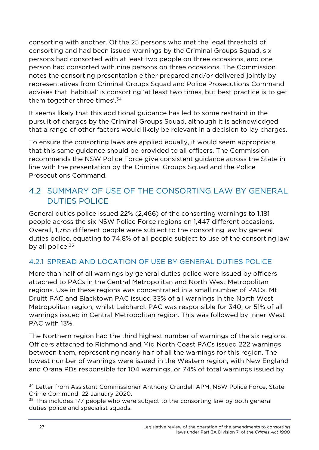consorting with another. Of the 25 persons who met the legal threshold of consorting and had been issued warnings by the Criminal Groups Squad, six persons had consorted with at least two people on three occasions, and one person had consorted with nine persons on three occasions. The Commission notes the consorting presentation either prepared and/or delivered jointly by representatives from Criminal Groups Squad and Police Prosecutions Command advises that 'habitual' is consorting 'at least two times, but best practice is to get them together three times'.34

It seems likely that this additional guidance has led to some restraint in the pursuit of charges by the Criminal Groups Squad, although it is acknowledged that a range of other factors would likely be relevant in a decision to lay charges.

To ensure the consorting laws are applied equally, it would seem appropriate that this same guidance should be provided to all officers. The Commission recommends the NSW Police Force give consistent guidance across the State in line with the presentation by the Criminal Groups Squad and the Police Prosecutions Command.

# 4.2 SUMMARY OF USE OF THE CONSORTING LAW BY GENERAL DUTIES POLICE

General duties police issued 22% (2,466) of the consorting warnings to 1,181 people across the six NSW Police Force regions on 1,447 different occasions. Overall, 1,765 different people were subject to the consorting law by general duties police, equating to 74.8% of all people subject to use of the consorting law by all police.<sup>35</sup>

### 4.2.1 SPREAD AND LOCATION OF USE BY GENERAL DUTIES POLICE

More than half of all warnings by general duties police were issued by officers attached to PACs in the Central Metropolitan and North West Metropolitan regions. Use in these regions was concentrated in a small number of PACs. Mt Druitt PAC and Blacktown PAC issued 33% of all warnings in the North West Metropolitan region, whilst Leichardt PAC was responsible for 340, or 51% of all warnings issued in Central Metropolitan region. This was followed by Inner West PAC with 13%.

The Northern region had the third highest number of warnings of the six regions. Officers attached to Richmond and Mid North Coast PACs issued 222 warnings between them, representing nearly half of all the warnings for this region. The lowest number of warnings were issued in the Western region, with New England and Orana PDs responsible for 104 warnings, or 74% of total warnings issued by

1

<sup>34</sup> Letter from Assistant Commissioner Anthony Crandell APM, NSW Police Force, State Crime Command, 22 January 2020.

 $35$  This includes 177 people who were subject to the consorting law by both general duties police and specialist squads.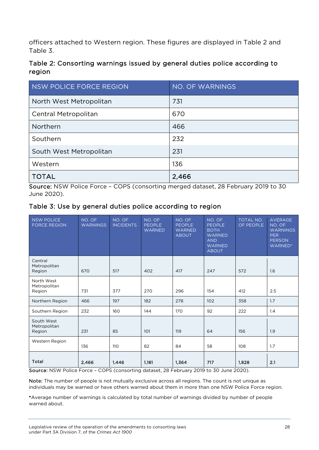officers attached to Western region. These figures are displayed in Table 2 and Table 3.

#### Table 2: Consorting warnings issued by general duties police according to region

| NSW POLICE FORCE REGION | <b>NO. OF WARNINGS</b> |
|-------------------------|------------------------|
| North West Metropolitan | 731                    |
| Central Metropolitan    | 670                    |
| Northern                | 466                    |
| Southern                | 232                    |
| South West Metropolitan | 231                    |
| Western                 | 136                    |
| <b>TOTAL</b>            | 2,466                  |

Source: NSW Police Force – COPS (consorting merged dataset, 28 February 2019 to 30 June 2020).

#### Table 3: Use by general duties police according to region

| <b>NSW POLICE</b><br><b>FORCE REGION</b> | NO. OF<br><b>WARNINGS</b> | NO. OF<br><b>INCIDENTS</b> | NO. OF<br><b>PEOPLE</b><br><b>WARNED</b> | NO. OF<br><b>PEOPLE</b><br><b>WARNED</b><br><b>ABOUT</b> | NO. OF<br><b>PEOPLE</b><br><b>BOTH</b><br><b>WARNED</b><br><b>AND</b><br><b>WARNED</b><br><b>ABOUT</b> | TOTAL NO.<br>OF PEOPLE | <b>AVERAGE</b><br>NO. OF<br><b>WARNINGS</b><br><b>PER</b><br><b>PERSON</b><br>WARNED* |
|------------------------------------------|---------------------------|----------------------------|------------------------------------------|----------------------------------------------------------|--------------------------------------------------------------------------------------------------------|------------------------|---------------------------------------------------------------------------------------|
| Central<br>Metropolitan<br>Region        | 670                       | 517                        | 402                                      | 417                                                      | 247                                                                                                    | 572                    | 1.6                                                                                   |
| North West<br>Metropolitan<br>Region     | 731                       | 377                        | 270                                      | 296                                                      | 154                                                                                                    | 412                    | 2.5                                                                                   |
| Northern Region                          | 466                       | 197                        | 182                                      | 278                                                      | 102                                                                                                    | 358                    | 1.7                                                                                   |
| Southern Region                          | 232                       | 160                        | 144                                      | 170                                                      | 92                                                                                                     | 222                    | 1.4                                                                                   |
| South West<br>Metropolitan<br>Region     | 231                       | 85                         | 101                                      | 119                                                      | 64                                                                                                     | 156                    | 1.9                                                                                   |
| Western Region                           | 136                       | 110                        | 82                                       | 84                                                       | 58                                                                                                     | 108                    | 1.7                                                                                   |
| Total                                    | 2,466                     | 1,446                      | 1,181                                    | 1,364                                                    | 717                                                                                                    | 1,828                  | 2.1                                                                                   |

Source: NSW Police Force – COPS (consorting dataset, 28 February 2019 to 30 June 2020).

Note: The number of people is not mutually exclusive across all regions. The count is not unique as individuals may be warned or have others warned about them in more than one NSW Police Force region.

\*Average number of warnings is calculated by total number of warnings divided by number of people warned about.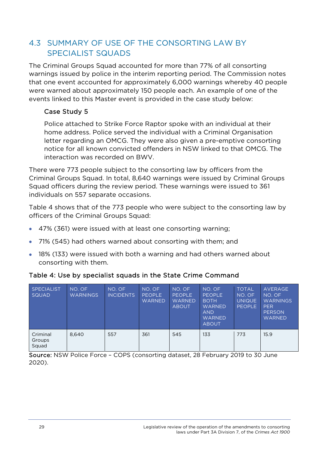# 4.3 SUMMARY OF USE OF THE CONSORTING LAW BY SPECIALIST SQUADS

The Criminal Groups Squad accounted for more than 77% of all consorting warnings issued by police in the interim reporting period. The Commission notes that one event accounted for approximately 6,000 warnings whereby 40 people were warned about approximately 150 people each. An example of one of the events linked to this Master event is provided in the case study below:

#### Case Study 5

Police attached to Strike Force Raptor spoke with an individual at their home address. Police served the individual with a Criminal Organisation letter regarding an OMCG. They were also given a pre-emptive consorting notice for all known convicted offenders in NSW linked to that OMCG. The interaction was recorded on BWV.

There were 773 people subject to the consorting law by officers from the Criminal Groups Squad. In total, 8,640 warnings were issued by Criminal Groups Squad officers during the review period. These warnings were issued to 361 individuals on 557 separate occasions.

Table 4 shows that of the 773 people who were subject to the consorting law by officers of the Criminal Groups Squad:

- 47% (361) were issued with at least one consorting warning;
- 71% (545) had others warned about consorting with them; and
- 18% (133) were issued with both a warning and had others warned about consorting with them.

#### Table 4: Use by specialist squads in the State Crime Command

| <b>SPECIALIST</b><br>SQUAD  | NO. OF<br><b>WARNINGS</b> | NO. OF<br><b>INCIDENTS</b> | NO. OF<br><b>PEOPLE</b><br><b>WARNED</b> | NO. OF<br><b>PEOPLE</b><br><b>WARNED</b><br><b>ABOUT</b> | NO. OF<br><b>PEOPLE</b><br><b>BOTH</b><br><b>WARNED</b><br><b>AND</b><br><b>WARNED</b><br><b>ABOUT</b> | <b>TOTAL</b><br>NO. OF<br><b>UNIQUE</b><br><b>PEOPLE</b> | AVERAGE<br>NO. OF<br><b>WARNINGS</b><br><b>PER</b><br><b>PERSON</b><br><b>WARNED</b> |
|-----------------------------|---------------------------|----------------------------|------------------------------------------|----------------------------------------------------------|--------------------------------------------------------------------------------------------------------|----------------------------------------------------------|--------------------------------------------------------------------------------------|
| Criminal<br>Groups<br>Squad | 8.640                     | 557                        | 361                                      | 545                                                      | 133                                                                                                    | 773                                                      | 15.9                                                                                 |

Source: NSW Police Force – COPS (consorting dataset, 28 February 2019 to 30 June 2020).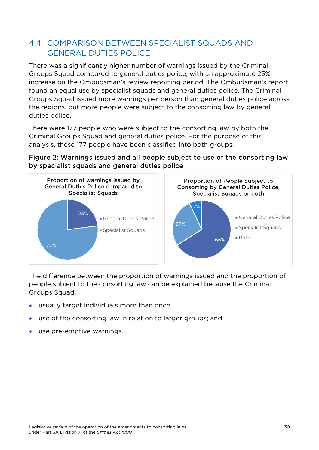# 4.4 COMPARISON BETWEEN SPECIALIST SQUADS AND GENERAL DUTIES POLICE

There was a significantly higher number of warnings issued by the Criminal Groups Squad compared to general duties police, with an approximate 25% increase on the Ombudsman's review reporting period. The Ombudsman's report found an equal use by specialist squads and general duties police. The Criminal Groups Squad issued more warnings per person than general duties police across the regions, but more people were subject to the consorting law by general duties police.

There were 177 people who were subject to the consorting law by both the Criminal Groups Squad and general duties police. For the purpose of this analysis, these 177 people have been classified into both groups.

#### Figure 2: Warnings issued and all people subject to use of the consorting law by specialist squads and general duties police



The difference between the proportion of warnings issued and the proportion of people subject to the consorting law can be explained because the Criminal Groups Squad:

- usually target individuals more than once;
- use of the consorting law in relation to larger groups; and
- use pre-emptive warnings.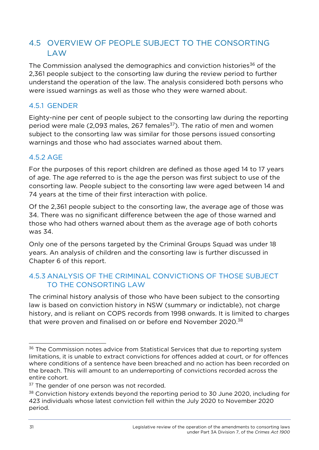### 4.5 OVERVIEW OF PEOPLE SUBJECT TO THE CONSORTING LAW

The Commission analysed the demographics and conviction histories<sup>36</sup> of the 2,361 people subject to the consorting law during the review period to further understand the operation of the law. The analysis considered both persons who were issued warnings as well as those who they were warned about.

#### 4.5.1 GENDER

Eighty-nine per cent of people subject to the consorting law during the reporting period were male (2.093 males, 267 females $37$ ). The ratio of men and women subject to the consorting law was similar for those persons issued consorting warnings and those who had associates warned about them.

### 4.5.2 AGE

For the purposes of this report children are defined as those aged 14 to 17 years of age. The age referred to is the age the person was first subject to use of the consorting law. People subject to the consorting law were aged between 14 and 74 years at the time of their first interaction with police.

Of the 2,361 people subject to the consorting law, the average age of those was 34. There was no significant difference between the age of those warned and those who had others warned about them as the average age of both cohorts was 34.

Only one of the persons targeted by the Criminal Groups Squad was under 18 years. An analysis of children and the consorting law is further discussed in Chapter 6 of this report.

#### 4.5.3 ANALYSIS OF THE CRIMINAL CONVICTIONS OF THOSE SUBJECT TO THE CONSORTING LAW

The criminal history analysis of those who have been subject to the consorting law is based on conviction history in NSW (summary or indictable), not charge history, and is reliant on COPS records from 1998 onwards. It is limited to charges that were proven and finalised on or before end November 2020.<sup>38</sup>

 $\overline{a}$ <sup>36</sup> The Commission notes advice from Statistical Services that due to reporting system limitations, it is unable to extract convictions for offences added at court, or for offences where conditions of a sentence have been breached and no action has been recorded on the breach. This will amount to an underreporting of convictions recorded across the entire cohort.

<sup>&</sup>lt;sup>37</sup> The gender of one person was not recorded.

<sup>&</sup>lt;sup>38</sup> Conviction history extends beyond the reporting period to 30 June 2020, including for 423 individuals whose latest conviction fell within the July 2020 to November 2020 period.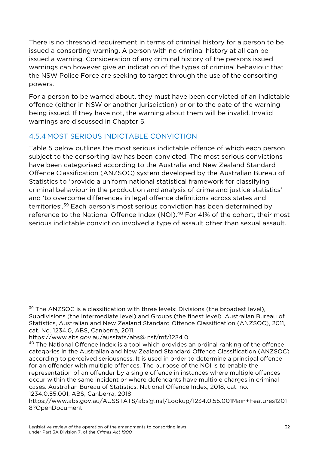There is no threshold requirement in terms of criminal history for a person to be issued a consorting warning. A person with no criminal history at all can be issued a warning. Consideration of any criminal history of the persons issued warnings can however give an indication of the types of criminal behaviour that the NSW Police Force are seeking to target through the use of the consorting powers.

For a person to be warned about, they must have been convicted of an indictable offence (either in NSW or another jurisdiction) prior to the date of the warning being issued. If they have not, the warning about them will be invalid. Invalid warnings are discussed in Chapter 5.

### 4.5.4 MOST SERIOUS INDICTABLE CONVICTION

Table 5 below outlines the most serious indictable offence of which each person subject to the consorting law has been convicted. The most serious convictions have been categorised according to the Australia and New Zealand Standard Offence Classification (ANZSOC) system developed by the Australian Bureau of Statistics to 'provide a uniform national statistical framework for classifying criminal behaviour in the production and analysis of crime and justice statistics' and 'to overcome differences in legal offence definitions across states and territories'.39 Each person's most serious conviction has been determined by reference to the National Offence Index (NOI).<sup>40</sup> For 41% of the cohort, their most serious indictable conviction involved a type of assault other than sexual assault.

<sup>1</sup>  $39$  The ANZSOC is a classification with three levels: Divisions (the broadest level), Subdivisions (the intermediate level) and Groups (the finest level). Australian Bureau of Statistics, Australian and New Zealand Standard Offence Classification (ANZSOC), 2011, cat. No. 1234.0, ABS, Canberra, 2011.

https://www.abs.gov.au/ausstats/abs@.nsf/mf/1234.0.

<sup>&</sup>lt;sup>40</sup> The National Offence Index is a tool which provides an ordinal ranking of the offence categories in the Australian and New Zealand Standard Offence Classification (ANZSOC) according to perceived seriousness. It is used in order to determine a principal offence for an offender with multiple offences. The purpose of the NOI is to enable the representation of an offender by a single offence in instances where multiple offences occur within the same incident or where defendants have multiple charges in criminal cases. Australian Bureau of Statistics, National Offence Index, 2018, cat. no. 1234.0.55.001, ABS, Canberra, 2018.

https://www.abs.gov.au/AUSSTATS/abs@.nsf/Lookup/1234.0.55.001Main+Features1201 8?OpenDocument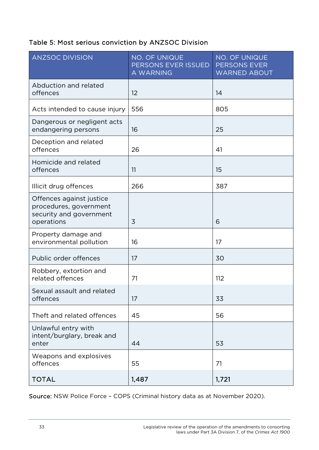# Table 5: Most serious conviction by ANZSOC Division

| <b>ANZSOC DIVISION</b>                                                                      | <b>NO. OF UNIQUE</b><br>PERSONS EVER ISSUED<br>A WARNING | <b>NO. OF UNIQUE</b><br><b>PERSONS EVER</b><br><b>WARNED ABOUT</b> |  |
|---------------------------------------------------------------------------------------------|----------------------------------------------------------|--------------------------------------------------------------------|--|
| Abduction and related<br>offences                                                           | 12                                                       | 14                                                                 |  |
| Acts intended to cause injury                                                               | 556                                                      | 805                                                                |  |
| Dangerous or negligent acts<br>endangering persons                                          | 16                                                       | 25                                                                 |  |
| Deception and related<br>offences                                                           | 26                                                       | 41                                                                 |  |
| Homicide and related<br>offences                                                            | 11                                                       | 15                                                                 |  |
| Illicit drug offences                                                                       | 266                                                      | 387                                                                |  |
| Offences against justice<br>procedures, government<br>security and government<br>operations | $\overline{3}$                                           | 6                                                                  |  |
| Property damage and<br>environmental pollution                                              | 16                                                       | 17                                                                 |  |
| Public order offences                                                                       | 17                                                       | 30                                                                 |  |
| Robbery, extortion and<br>related offences                                                  | 71                                                       | 112                                                                |  |
| Sexual assault and related<br>offences                                                      | 17                                                       | 33                                                                 |  |
| Theft and related offences                                                                  | 45                                                       | 56                                                                 |  |
| Unlawful entry with<br>intent/burglary, break and<br>enter                                  | 44                                                       | 53                                                                 |  |
| Weapons and explosives<br>offences                                                          | 55                                                       | 71                                                                 |  |
| <b>TOTAL</b>                                                                                | 1,487                                                    | 1,721                                                              |  |

Source: NSW Police Force – COPS (Criminal history data as at November 2020).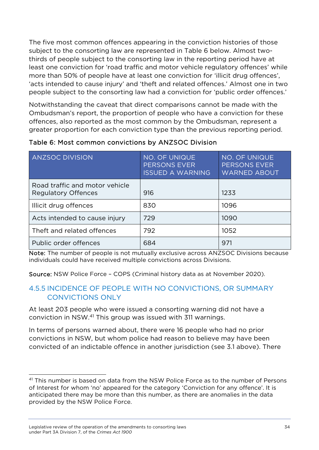The five most common offences appearing in the conviction histories of those subject to the consorting law are represented in Table 6 below. Almost twothirds of people subject to the consorting law in the reporting period have at least one conviction for 'road traffic and motor vehicle regulatory offences' while more than 50% of people have at least one conviction for 'illicit drug offences', 'acts intended to cause injury' and 'theft and related offences.' Almost one in two people subject to the consorting law had a conviction for 'public order offences.'

Notwithstanding the caveat that direct comparisons cannot be made with the Ombudsman's report, the proportion of people who have a conviction for these offences, also reported as the most common by the Ombudsman, represent a greater proportion for each conviction type than the previous reporting period.

| <b>ANZSOC DIVISION</b>                                       | NO. OF UNIQUE<br>PERSONS EVER<br><b>ISSUED A WARNING</b> | <b>NO. OF UNIQUE</b><br>PERSONS EVER<br><b>WARNED ABOUT</b> |
|--------------------------------------------------------------|----------------------------------------------------------|-------------------------------------------------------------|
| Road traffic and motor vehicle<br><b>Regulatory Offences</b> | 916                                                      | 1233                                                        |
| Illicit drug offences                                        | 830                                                      | 1096                                                        |
| Acts intended to cause injury                                | 729                                                      | 1090                                                        |
| Theft and related offences                                   | 792                                                      | 1052                                                        |
| Public order offences                                        | 684                                                      | 971                                                         |

Table 6: Most common convictions by ANZSOC Division

Note: The number of people is not mutually exclusive across ANZSOC Divisions because individuals could have received multiple convictions across Divisions.

Source: NSW Police Force – COPS (Criminal history data as at November 2020).

#### 4.5.5 INCIDENCE OF PEOPLE WITH NO CONVICTIONS, OR SUMMARY CONVICTIONS ONLY

At least 203 people who were issued a consorting warning did not have a conviction in NSW.41 This group was issued with 311 warnings.

In terms of persons warned about, there were 16 people who had no prior convictions in NSW, but whom police had reason to believe may have been convicted of an indictable offence in another jurisdiction (see 3.1 above). There

1

<sup>&</sup>lt;sup>41</sup> This number is based on data from the NSW Police Force as to the number of Persons of Interest for whom 'no' appeared for the category 'Conviction for any offence'. It is anticipated there may be more than this number, as there are anomalies in the data provided by the NSW Police Force.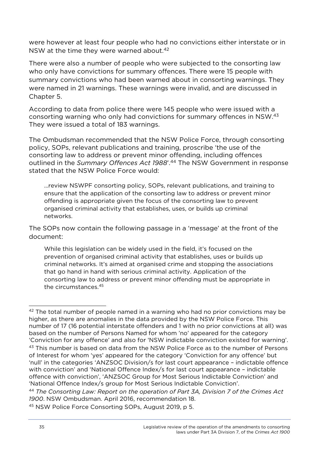were however at least four people who had no convictions either interstate or in NSW at the time they were warned about.<sup>42</sup>

There were also a number of people who were subjected to the consorting law who only have convictions for summary offences. There were 15 people with summary convictions who had been warned about in consorting warnings. They were named in 21 warnings. These warnings were invalid, and are discussed in Chapter 5.

According to data from police there were 145 people who were issued with a consorting warning who only had convictions for summary offences in NSW.43 They were issued a total of 183 warnings.

The Ombudsman recommended that the NSW Police Force, through consorting policy, SOPs, relevant publications and training, proscribe 'the use of the consorting law to address or prevent minor offending, including offences outlined in the *Summary Offences Act 1988'*.<sup>44</sup> The NSW Government in response stated that the NSW Police Force would:

…review NSWPF consorting policy, SOPs, relevant publications, and training to ensure that the application of the consorting law to address or prevent minor offending is appropriate given the focus of the consorting law to prevent organised criminal activity that establishes, uses, or builds up criminal networks.

The SOPs now contain the following passage in a 'message' at the front of the document:

While this legislation can be widely used in the field, it's focused on the prevention of organised criminal activity that establishes, uses or builds up criminal networks. It's aimed at organised crime and stopping the associations that go hand in hand with serious criminal activity. Application of the consorting law to address or prevent minor offending must be appropriate in the circumstances  $45$ 

<sup>44</sup> *The Consorting Law: Report on the operation of Part 3A, Division 7 of the Crimes Act 1900*. NSW Ombudsman. April 2016, recommendation 18.

<sup>-</sup><sup>42</sup> The total number of people named in a warning who had no prior convictions may be higher, as there are anomalies in the data provided by the NSW Police Force. This number of 17 (16 potential interstate offenders and 1 with no prior convictions at all) was based on the number of Persons Named for whom 'no' appeared for the category 'Conviction for any offence' and also for 'NSW indictable conviction existed for warning'.  $43$  This number is based on data from the NSW Police Force as to the number of Persons of Interest for whom 'yes' appeared for the category 'Conviction for any offence' but 'null' in the categories 'ANZSOC Division/s for last court appearance – indictable offence with conviction' and 'National Offence Index/s for last court appearance – indictable offence with conviction', 'ANZSOC Group for Most Serious Indictable Conviction' and 'National Offence Index/s group for Most Serious Indictable Conviction'.

<sup>45</sup> NSW Police Force Consorting SOPs, August 2019, p 5.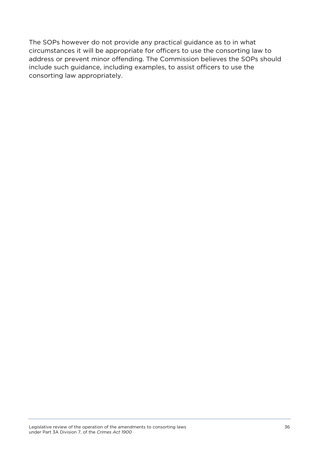The SOPs however do not provide any practical guidance as to in what circumstances it will be appropriate for officers to use the consorting law to address or prevent minor offending. The Commission believes the SOPs should include such guidance, including examples, to assist officers to use the consorting law appropriately.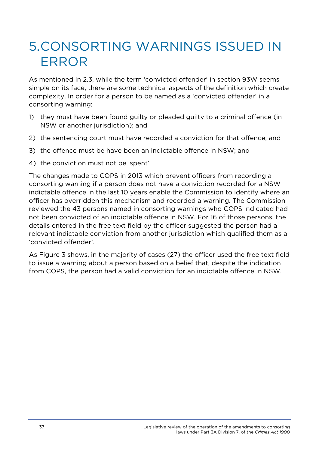# 5.CONSORTING WARNINGS ISSUED IN ERROR

As mentioned in 2.3, while the term 'convicted offender' in section 93W seems simple on its face, there are some technical aspects of the definition which create complexity. In order for a person to be named as a 'convicted offender' in a consorting warning:

- 1) they must have been found guilty or pleaded guilty to a criminal offence (in NSW or another jurisdiction); and
- 2) the sentencing court must have recorded a conviction for that offence; and
- 3) the offence must be have been an indictable offence in NSW; and
- 4) the conviction must not be 'spent'.

The changes made to COPS in 2013 which prevent officers from recording a consorting warning if a person does not have a conviction recorded for a NSW indictable offence in the last 10 years enable the Commission to identify where an officer has overridden this mechanism and recorded a warning. The Commission reviewed the 43 persons named in consorting warnings who COPS indicated had not been convicted of an indictable offence in NSW. For 16 of those persons, the details entered in the free text field by the officer suggested the person had a relevant indictable conviction from another jurisdiction which qualified them as a 'convicted offender'.

As Figure 3 shows, in the majority of cases (27) the officer used the free text field to issue a warning about a person based on a belief that, despite the indication from COPS, the person had a valid conviction for an indictable offence in NSW.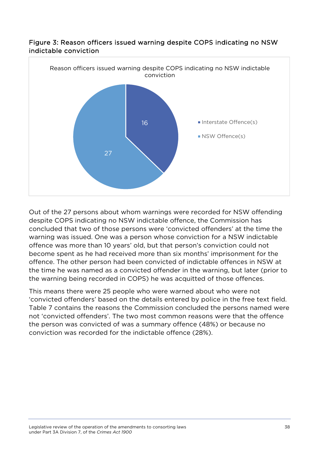#### Figure 3: Reason officers issued warning despite COPS indicating no NSW indictable conviction



Out of the 27 persons about whom warnings were recorded for NSW offending despite COPS indicating no NSW indictable offence, the Commission has concluded that two of those persons were 'convicted offenders' at the time the warning was issued. One was a person whose conviction for a NSW indictable offence was more than 10 years' old, but that person's conviction could not become spent as he had received more than six months' imprisonment for the offence. The other person had been convicted of indictable offences in NSW at the time he was named as a convicted offender in the warning, but later (prior to the warning being recorded in COPS) he was acquitted of those offences.

This means there were 25 people who were warned about who were not 'convicted offenders' based on the details entered by police in the free text field. Table 7 contains the reasons the Commission concluded the persons named were not 'convicted offenders'. The two most common reasons were that the offence the person was convicted of was a summary offence (48%) or because no conviction was recorded for the indictable offence (28%).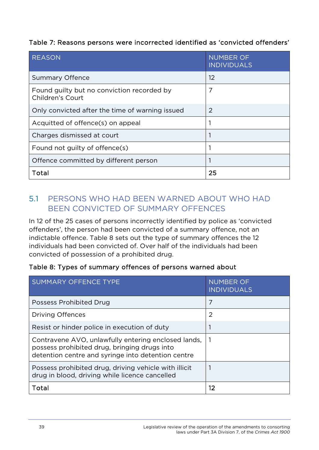#### Table 7: Reasons persons were incorrected identified as 'convicted offenders'

| <b>REASON</b>                                                  | <b>NUMBER OF</b><br><b>INDIVIDUALS</b> |
|----------------------------------------------------------------|----------------------------------------|
| <b>Summary Offence</b>                                         | 12                                     |
| Found guilty but no conviction recorded by<br>Children's Court | 7                                      |
| Only convicted after the time of warning issued                | 2                                      |
| Acquitted of offence(s) on appeal                              |                                        |
| Charges dismissed at court                                     |                                        |
| Found not guilty of offence(s)                                 |                                        |
| Offence committed by different person                          |                                        |
| Total                                                          | 25                                     |

# 5.1 PERSONS WHO HAD BEEN WARNED ABOUT WHO HAD BEEN CONVICTED OF SUMMARY OFFENCES

In 12 of the 25 cases of persons incorrectly identified by police as 'convicted offenders', the person had been convicted of a summary offence, not an indictable offence. Table 8 sets out the type of summary offences the 12 individuals had been convicted of. Over half of the individuals had been convicted of possession of a prohibited drug.

#### Table 8: Types of summary offences of persons warned about

| SUMMARY OFFENCE TYPE                                                                                                                                      | <b>NUMBER OF</b><br><b>INDIVIDUALS</b> |
|-----------------------------------------------------------------------------------------------------------------------------------------------------------|----------------------------------------|
| Possess Prohibited Drug                                                                                                                                   | 7                                      |
| <b>Driving Offences</b>                                                                                                                                   | $\overline{2}$                         |
| Resist or hinder police in execution of duty                                                                                                              |                                        |
| Contravene AVO, unlawfully entering enclosed lands,<br>possess prohibited drug, bringing drugs into<br>detention centre and syringe into detention centre |                                        |
| Possess prohibited drug, driving vehicle with illicit<br>drug in blood, driving while licence cancelled                                                   |                                        |
| Total                                                                                                                                                     | 12                                     |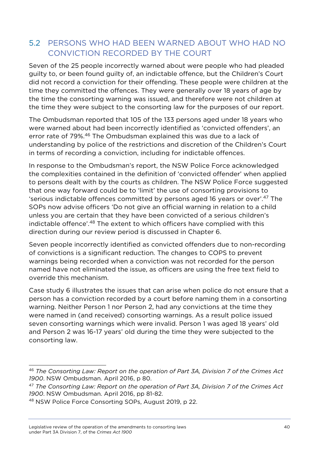# 5.2 PERSONS WHO HAD BEEN WARNED ABOUT WHO HAD NO CONVICTION RECORDED BY THE COURT

Seven of the 25 people incorrectly warned about were people who had pleaded guilty to, or been found guilty of, an indictable offence, but the Children's Court did not record a conviction for their offending. These people were children at the time they committed the offences. They were generally over 18 years of age by the time the consorting warning was issued, and therefore were not children at the time they were subject to the consorting law for the purposes of our report.

The Ombudsman reported that 105 of the 133 persons aged under 18 years who were warned about had been incorrectly identified as 'convicted offenders', an error rate of 79%.46 The Ombudsman explained this was due to a lack of understanding by police of the restrictions and discretion of the Children's Court in terms of recording a conviction, including for indictable offences.

In response to the Ombudsman's report, the NSW Police Force acknowledged the complexities contained in the definition of 'convicted offender' when applied to persons dealt with by the courts as children. The NSW Police Force suggested that one way forward could be to 'limit' the use of consorting provisions to 'serious indictable offences committed by persons aged 16 years or over'.47 The SOPs now advise officers 'Do not give an official warning in relation to a child unless you are certain that they have been convicted of a serious children's indictable offence'.<sup>48</sup> The extent to which officers have complied with this direction during our review period is discussed in Chapter 6.

Seven people incorrectly identified as convicted offenders due to non-recording of convictions is a significant reduction. The changes to COPS to prevent warnings being recorded when a conviction was not recorded for the person named have not eliminated the issue, as officers are using the free text field to override this mechanism.

Case study 6 illustrates the issues that can arise when police do not ensure that a person has a conviction recorded by a court before naming them in a consorting warning. Neither Person 1 nor Person 2, had any convictions at the time they were named in (and received) consorting warnings. As a result police issued seven consorting warnings which were invalid. Person 1 was aged 18 years' old and Person 2 was 16-17 years' old during the time they were subjected to the consorting law.

 $\overline{a}$ 

<sup>46</sup> *The Consorting Law: Report on the operation of Part 3A, Division 7 of the Crimes Act 1900*. NSW Ombudsman. April 2016, p 80.

<sup>47</sup> *The Consorting Law: Report on the operation of Part 3A, Division 7 of the Crimes Act 1900*. NSW Ombudsman. April 2016, pp 81-82.

<sup>48</sup> NSW Police Force Consorting SOPs, August 2019, p 22.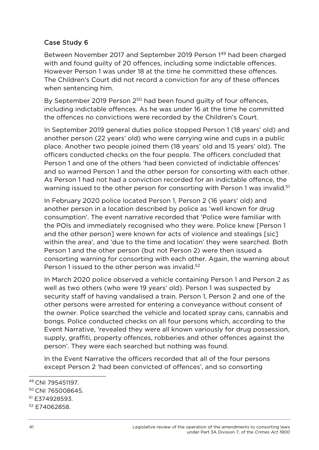#### Case Study 6

Between November 2017 and September 2019 Person 149 had been charged with and found quilty of 20 offences, including some indictable offences. However Person 1 was under 18 at the time he committed these offences. The Children's Court did not record a conviction for any of these offences when sentencing him.

By September 2019 Person 2<sup>50</sup> had been found quilty of four offences, including indictable offences. As he was under 16 at the time he committed the offences no convictions were recorded by the Children's Court.

In September 2019 general duties police stopped Person 1 (18 years' old) and another person (22 years' old) who were carrying wine and cups in a public place. Another two people joined them (18 years' old and 15 years' old). The officers conducted checks on the four people. The officers concluded that Person 1 and one of the others 'had been convicted of indictable offences' and so warned Person 1 and the other person for consorting with each other. As Person 1 had not had a conviction recorded for an indictable offence, the warning issued to the other person for consorting with Person 1 was invalid.<sup>51</sup>

In February 2020 police located Person 1, Person 2 (16 years' old) and another person in a location described by police as 'well known for drug consumption'. The event narrative recorded that 'Police were familiar with the POIs and immediately recognised who they were. Police knew [Person 1 and the other person] were known for acts of violence and stealings [sic] within the area', and 'due to the time and location' they were searched. Both Person 1 and the other person (but not Person 2) were then issued a consorting warning for consorting with each other. Again, the warning about Person 1 issued to the other person was invalid.<sup>52</sup>

In March 2020 police observed a vehicle containing Person 1 and Person 2 as well as two others (who were 19 years' old). Person 1 was suspected by security staff of having vandalised a train. Person 1, Person 2 and one of the other persons were arrested for entering a conveyance without consent of the owner. Police searched the vehicle and located spray cans, cannabis and bongs. Police conducted checks on all four persons which, according to the Event Narrative, 'revealed they were all known variously for drug possession, supply, graffiti, property offences, robberies and other offences against the person'. They were each searched but nothing was found.

In the Event Narrative the officers recorded that all of the four persons except Person 2 'had been convicted of offences', and so consorting

-

<sup>49</sup> CNI 795451197.

<sup>50</sup> CNI 765008645.

<sup>51</sup> E374928593.

<sup>52</sup> E74062858.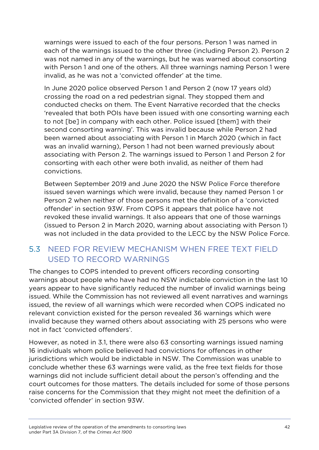warnings were issued to each of the four persons. Person 1 was named in each of the warnings issued to the other three (including Person 2). Person 2 was not named in any of the warnings, but he was warned about consorting with Person 1 and one of the others. All three warnings naming Person 1 were invalid, as he was not a 'convicted offender' at the time.

In June 2020 police observed Person 1 and Person 2 (now 17 years old) crossing the road on a red pedestrian signal. They stopped them and conducted checks on them. The Event Narrative recorded that the checks 'revealed that both POIs have been issued with one consorting warning each to not [be] in company with each other. Police issued [them] with their second consorting warning'. This was invalid because while Person 2 had been warned about associating with Person 1 in March 2020 (which in fact was an invalid warning), Person 1 had not been warned previously about associating with Person 2. The warnings issued to Person 1 and Person 2 for consorting with each other were both invalid, as neither of them had convictions.

Between September 2019 and June 2020 the NSW Police Force therefore issued seven warnings which were invalid, because they named Person 1 or Person 2 when neither of those persons met the definition of a 'convicted offender' in section 93W. From COPS it appears that police have not revoked these invalid warnings. It also appears that one of those warnings (issued to Person 2 in March 2020, warning about associating with Person 1) was not included in the data provided to the LECC by the NSW Police Force.

### 5.3 NEED FOR REVIEW MECHANISM WHEN FREE TEXT FIELD USED TO RECORD WARNINGS

The changes to COPS intended to prevent officers recording consorting warnings about people who have had no NSW indictable conviction in the last 10 years appear to have significantly reduced the number of invalid warnings being issued. While the Commission has not reviewed all event narratives and warnings issued, the review of all warnings which were recorded when COPS indicated no relevant conviction existed for the person revealed 36 warnings which were invalid because they warned others about associating with 25 persons who were not in fact 'convicted offenders'.

However, as noted in 3.1, there were also 63 consorting warnings issued naming 16 individuals whom police believed had convictions for offences in other jurisdictions which would be indictable in NSW. The Commission was unable to conclude whether these 63 warnings were valid, as the free text fields for those warnings did not include sufficient detail about the person's offending and the court outcomes for those matters. The details included for some of those persons raise concerns for the Commission that they might not meet the definition of a 'convicted offender' in section 93W.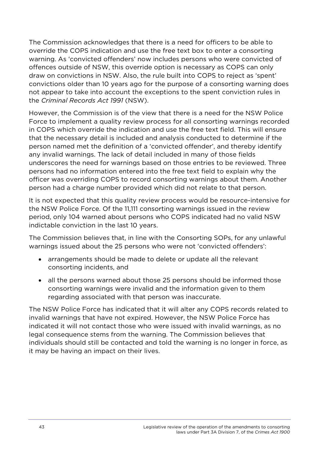The Commission acknowledges that there is a need for officers to be able to override the COPS indication and use the free text box to enter a consorting warning. As 'convicted offenders' now includes persons who were convicted of offences outside of NSW, this override option is necessary as COPS can only draw on convictions in NSW. Also, the rule built into COPS to reject as 'spent' convictions older than 10 years ago for the purpose of a consorting warning does not appear to take into account the exceptions to the spent conviction rules in the *Criminal Records Act 1991* (NSW).

However, the Commission is of the view that there is a need for the NSW Police Force to implement a quality review process for all consorting warnings recorded in COPS which override the indication and use the free text field. This will ensure that the necessary detail is included and analysis conducted to determine if the person named met the definition of a 'convicted offender', and thereby identify any invalid warnings. The lack of detail included in many of those fields underscores the need for warnings based on those entries to be reviewed. Three persons had no information entered into the free text field to explain why the officer was overriding COPS to record consorting warnings about them. Another person had a charge number provided which did not relate to that person.

It is not expected that this quality review process would be resource-intensive for the NSW Police Force. Of the 11,111 consorting warnings issued in the review period, only 104 warned about persons who COPS indicated had no valid NSW indictable conviction in the last 10 years.

The Commission believes that, in line with the Consorting SOPs, for any unlawful warnings issued about the 25 persons who were not 'convicted offenders':

- arrangements should be made to delete or update all the relevant consorting incidents, and
- all the persons warned about those 25 persons should be informed those consorting warnings were invalid and the information given to them regarding associated with that person was inaccurate.

The NSW Police Force has indicated that it will alter any COPS records related to invalid warnings that have not expired. However, the NSW Police Force has indicated it will not contact those who were issued with invalid warnings, as no legal consequence stems from the warning. The Commission believes that individuals should still be contacted and told the warning is no longer in force, as it may be having an impact on their lives.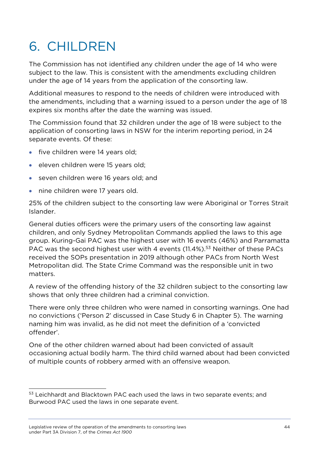# 6. CHILDREN

The Commission has not identified any children under the age of 14 who were subject to the law. This is consistent with the amendments excluding children under the age of 14 years from the application of the consorting law.

Additional measures to respond to the needs of children were introduced with the amendments, including that a warning issued to a person under the age of 18 expires six months after the date the warning was issued.

The Commission found that 32 children under the age of 18 were subject to the application of consorting laws in NSW for the interim reporting period, in 24 separate events. Of these:

- five children were 14 years old;
- **e** eleven children were 15 years old;
- seven children were 16 years old; and
- nine children were 17 years old.

25% of the children subject to the consorting law were Aboriginal or Torres Strait Islander.

General duties officers were the primary users of the consorting law against children, and only Sydney Metropolitan Commands applied the laws to this age group. Kuring-Gai PAC was the highest user with 16 events (46%) and Parramatta PAC was the second highest user with 4 events (11.4%).<sup>53</sup> Neither of these PACs received the SOPs presentation in 2019 although other PACs from North West Metropolitan did. The State Crime Command was the responsible unit in two matters.

A review of the offending history of the 32 children subject to the consorting law shows that only three children had a criminal conviction.

There were only three children who were named in consorting warnings. One had no convictions ('Person 2' discussed in Case Study 6 in Chapter 5). The warning naming him was invalid, as he did not meet the definition of a 'convicted offender'.

One of the other children warned about had been convicted of assault occasioning actual bodily harm. The third child warned about had been convicted of multiple counts of robbery armed with an offensive weapon.

 $\overline{a}$ 

<sup>&</sup>lt;sup>53</sup> Leichhardt and Blacktown PAC each used the laws in two separate events; and Burwood PAC used the laws in one separate event.

Legislative review of the operation of the amendments to consorting laws 44 under Part 3A Division 7, of the *Crimes Act 1900*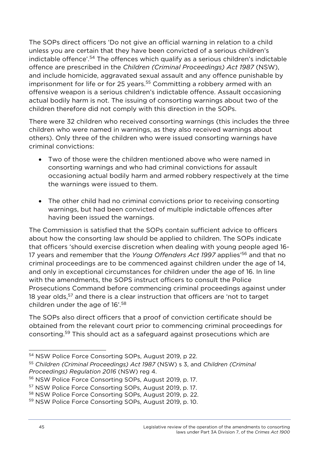The SOPs direct officers 'Do not give an official warning in relation to a child unless you are certain that they have been convicted of a serious children's indictable offence'.54 The offences which qualify as a serious children's indictable offence are prescribed in the *Children (Criminal Proceedings) Act 1987* (NSW), and include homicide, aggravated sexual assault and any offence punishable by imprisonment for life or for 25 years.<sup>55</sup> Committing a robbery armed with an offensive weapon is a serious children's indictable offence. Assault occasioning actual bodily harm is not. The issuing of consorting warnings about two of the children therefore did not comply with this direction in the SOPs.

There were 32 children who received consorting warnings (this includes the three children who were named in warnings, as they also received warnings about others). Only three of the children who were issued consorting warnings have criminal convictions:

- Two of those were the children mentioned above who were named in consorting warnings and who had criminal convictions for assault occasioning actual bodily harm and armed robbery respectively at the time the warnings were issued to them.
- The other child had no criminal convictions prior to receiving consorting warnings, but had been convicted of multiple indictable offences after having been issued the warnings.

The Commission is satisfied that the SOPs contain sufficient advice to officers about how the consorting law should be applied to children. The SOPs indicate that officers 'should exercise discretion when dealing with young people aged 16- 17 years and remember that the *Young Offenders Act 1997* applies'56 and that no criminal proceedings are to be commenced against children under the age of 14, and only in exceptional circumstances for children under the age of 16. In line with the amendments, the SOPS instruct officers to consult the Police Prosecutions Command before commencing criminal proceedings against under 18 year olds,<sup>57</sup> and there is a clear instruction that officers are 'not to target children under the age of 16'.58

The SOPs also direct officers that a proof of conviction certificate should be obtained from the relevant court prior to commencing criminal proceedings for consorting.59 This should act as a safeguard against prosecutions which are

 $\overline{a}$ 

<sup>54</sup> NSW Police Force Consorting SOPs, August 2019, p 22.

<sup>55</sup> *Children (Criminal Proceedings) Act 1987* (NSW) s 3, and *Children (Criminal Proceedings) Regulation 2016* (NSW) reg 4.

<sup>56</sup> NSW Police Force Consorting SOPs, August 2019, p. 17.

<sup>57</sup> NSW Police Force Consorting SOPs, August 2019, p. 17.

<sup>58</sup> NSW Police Force Consorting SOPs, August 2019, p. 22.

<sup>59</sup> NSW Police Force Consorting SOPs, August 2019, p. 10.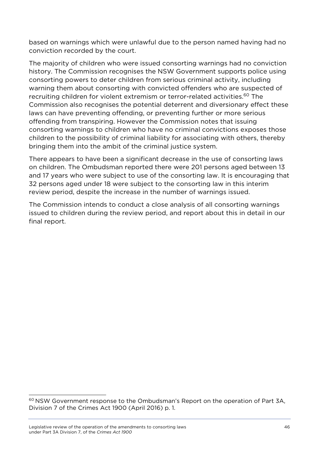based on warnings which were unlawful due to the person named having had no conviction recorded by the court.

The majority of children who were issued consorting warnings had no conviction history. The Commission recognises the NSW Government supports police using consorting powers to deter children from serious criminal activity, including warning them about consorting with convicted offenders who are suspected of recruiting children for violent extremism or terror-related activities.<sup>60</sup> The Commission also recognises the potential deterrent and diversionary effect these laws can have preventing offending, or preventing further or more serious offending from transpiring. However the Commission notes that issuing consorting warnings to children who have no criminal convictions exposes those children to the possibility of criminal liability for associating with others, thereby bringing them into the ambit of the criminal justice system.

There appears to have been a significant decrease in the use of consorting laws on children. The Ombudsman reported there were 201 persons aged between 13 and 17 years who were subject to use of the consorting law. It is encouraging that 32 persons aged under 18 were subject to the consorting law in this interim review period, despite the increase in the number of warnings issued.

The Commission intends to conduct a close analysis of all consorting warnings issued to children during the review period, and report about this in detail in our final report.

-

<sup>60</sup> NSW Government response to the Ombudsman's Report on the operation of Part 3A, Division 7 of the Crimes Act 1900 (April 2016) p. 1.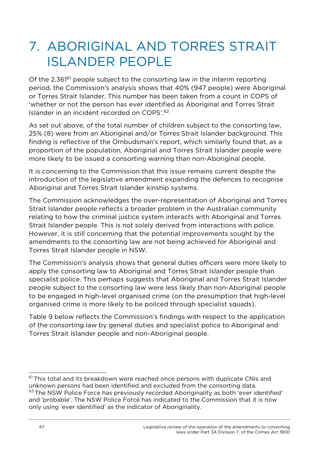# 7. ABORIGINAL AND TORRES STRAIT ISLANDER PEOPLE

Of the 2,36161 people subject to the consorting law in the interim reporting period, the Commission's analysis shows that 40% (947 people) were Aboriginal or Torres Strait Islander. This number has been taken from a count in COPS of 'whether or not the person has ever identified as Aboriginal and Torres Strait Islander in an incident recorded on COPS'.62

As set out above, of the total number of children subject to the consorting law, 25% (8) were from an Aboriginal and/or Torres Strait Islander background. This finding is reflective of the Ombudsman's report, which similarly found that, as a proportion of the population, Aboriginal and Torres Strait Islander people were more likely to be issued a consorting warning than non-Aboriginal people.

It is concerning to the Commission that this issue remains current despite the introduction of the legislative amendment expanding the defences to recognise Aboriginal and Torres Strait Islander kinship systems.

The Commission acknowledges the over-representation of Aboriginal and Torres Strait Islander people reflects a broader problem in the Australian community relating to how the criminal justice system interacts with Aboriginal and Torres Strait Islander people. This is not solely derived from interactions with police. However, it is still concerning that the potential improvements sought by the amendments to the consorting law are not being achieved for Aboriginal and Torres Strait Islander people in NSW.

The Commission's analysis shows that general duties officers were more likely to apply the consorting law to Aboriginal and Torres Strait Islander people than specialist police. This perhaps suggests that Aboriginal and Torres Strait Islander people subject to the consorting law were less likely than non-Aboriginal people to be engaged in high-level organised crime (on the presumption that high-level organised crime is more likely to be policed through specialist squads).

Table 9 below reflects the Commission's findings with respect to the application of the consorting law by general duties and specialist police to Aboriginal and Torres Strait Islander people and non-Aboriginal people.

 $\overline{a}$ 

<sup>&</sup>lt;sup>61</sup> This total and its breakdown were reached once persons with duplicate CNIs and unknown persons had been identified and excluded from the consorting data.  $62$  The NSW Police Force has previously recorded Aboriginality as both 'ever identified' and 'probable'. The NSW Police Force has indicated to the Commission that it is now only using 'ever identified' as the indicator of Aboriginality.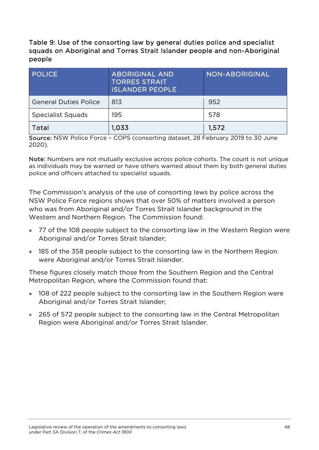Table 9: Use of the consorting law by general duties police and specialist squads on Aboriginal and Torres Strait Islander people and non-Aboriginal people

| <b>POLICE</b>                | <b>ABORIGINAL AND</b><br><b>TORRES STRAIT</b><br><b>ISLANDER PEOPLE</b> | <b>NON-ABORIGINAL</b> |
|------------------------------|-------------------------------------------------------------------------|-----------------------|
| <b>General Duties Police</b> | 813                                                                     | 952                   |
| <b>Specialist Squads</b>     | 195                                                                     | 578                   |
| Total                        | 1,033                                                                   | 1,572                 |

Source: NSW Police Force – COPS (consorting dataset, 28 February 2019 to 30 June 2020).

Note: Numbers are not mutually exclusive across police cohorts. The count is not unique as individuals may be warned or have others warned about them by both general duties police and officers attached to specialist squads.

The Commission's analysis of the use of consorting laws by police across the NSW Police Force regions shows that over 50% of matters involved a person who was from Aboriginal and/or Torres Strait Islander background in the Western and Northern Region. The Commission found:

- 77 of the 108 people subject to the consorting law in the Western Region were Aboriginal and/or Torres Strait Islander;
- 185 of the 358 people subject to the consorting law in the Northern Region were Aboriginal and/or Torres Strait Islander.

These figures closely match those from the Southern Region and the Central Metropolitan Region, where the Commission found that:

- 108 of 222 people subject to the consorting law in the Southern Region were Aboriginal and/or Torres Strait Islander;
- 265 of 572 people subject to the consorting law in the Central Metropolitan Region were Aboriginal and/or Torres Strait Islander.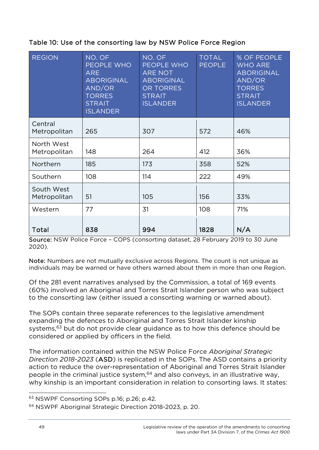| Table 10: Use of the consorting law by NSW Police Force Region |  |  |  |  |  |  |  |  |  |  |
|----------------------------------------------------------------|--|--|--|--|--|--|--|--|--|--|
|----------------------------------------------------------------|--|--|--|--|--|--|--|--|--|--|

| <b>REGION</b>              | NO. OF<br>PEOPLE WHO<br><b>ARE</b><br><b>ABORIGINAL</b><br>AND/OR<br><b>TORRES</b><br><b>STRAIT</b><br><b>ISLANDER</b> | NO. OF<br>PEOPLE WHO<br><b>ARE NOT</b><br><b>ABORIGINAL</b><br><b>OR TORRES</b><br><b>STRAIT</b><br><b>ISLANDER</b> | <b>TOTAL</b><br><b>PEOPLE</b> | % OF PEOPLE<br><b>WHO ARE</b><br><b>ABORIGINAL</b><br>AND/OR<br><b>TORRES</b><br><b>STRAIT</b><br><b>ISLANDER</b> |
|----------------------------|------------------------------------------------------------------------------------------------------------------------|---------------------------------------------------------------------------------------------------------------------|-------------------------------|-------------------------------------------------------------------------------------------------------------------|
| Central<br>Metropolitan    | 265                                                                                                                    | 307                                                                                                                 | 572                           | 46%                                                                                                               |
| North West<br>Metropolitan | 148                                                                                                                    | 264                                                                                                                 | 412                           | 36%                                                                                                               |
| Northern                   | 185                                                                                                                    | 173                                                                                                                 | 358                           | 52%                                                                                                               |
| Southern                   | 108                                                                                                                    | 114                                                                                                                 | 222                           | 49%                                                                                                               |
| South West<br>Metropolitan | 51                                                                                                                     | 105                                                                                                                 | 156                           | 33%                                                                                                               |
| Western                    | 77                                                                                                                     | 31                                                                                                                  | 108                           | 71%                                                                                                               |
| Total                      | 838                                                                                                                    | 994                                                                                                                 | 1828                          | N/A                                                                                                               |

Source: NSW Police Force – COPS (consorting dataset, 28 February 2019 to 30 June 2020).

Note: Numbers are not mutually exclusive across Regions. The count is not unique as individuals may be warned or have others warned about them in more than one Region.

Of the 281 event narratives analysed by the Commission, a total of 169 events (60%) involved an Aboriginal and Torres Strait Islander person who was subject to the consorting law (either issued a consorting warning or warned about).

The SOPs contain three separate references to the legislative amendment expanding the defences to Aboriginal and Torres Strait Islander kinship systems,<sup>63</sup> but do not provide clear guidance as to how this defence should be considered or applied by officers in the field.

The information contained within the NSW Police Force *Aboriginal Strategic Direction 2018-2023* (ASD) is replicated in the SOPs. The ASD contains a priority action to reduce the over-representation of Aboriginal and Torres Strait Islander people in the criminal justice system,64 and also conveys, in an illustrative way, why kinship is an important consideration in relation to consorting laws. It states:

1

<sup>63</sup> NSWPF Consorting SOPs p.16; p.26; p.42.

<sup>64</sup> NSWPF Aboriginal Strategic Direction 2018-2023, p. 20.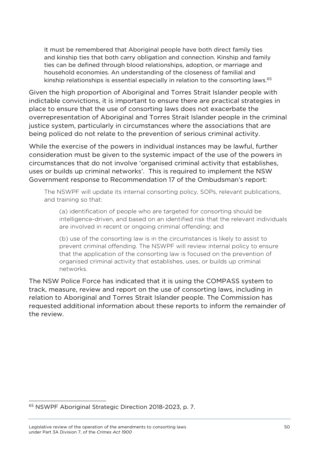It must be remembered that Aboriginal people have both direct family ties and kinship ties that both carry obligation and connection. Kinship and family ties can be defined through blood relationships, adoption, or marriage and household economies. An understanding of the closeness of familial and kinship relationships is essential especially in relation to the consorting laws.65

Given the high proportion of Aboriginal and Torres Strait Islander people with indictable convictions, it is important to ensure there are practical strategies in place to ensure that the use of consorting laws does not exacerbate the overrepresentation of Aboriginal and Torres Strait Islander people in the criminal justice system, particularly in circumstances where the associations that are being policed do not relate to the prevention of serious criminal activity.

While the exercise of the powers in individual instances may be lawful, further consideration must be given to the systemic impact of the use of the powers in circumstances that do not involve 'organised criminal activity that establishes, uses or builds up criminal networks'. This is required to implement the NSW Government response to Recommendation 17 of the Ombudsman's report:

The NSWPF will update its internal consorting policy, SOPs, relevant publications, and training so that:

(a) identification of people who are targeted for consorting should be intelligence-driven, and based on an identified risk that the relevant individuals are involved in recent or ongoing criminal offending; and

(b) use of the consorting law is in the circumstances is likely to assist to prevent criminal offending. The NSWPF will review internal policy to ensure that the application of the consorting law is focused on the prevention of organised criminal activity that establishes, uses, or builds up criminal networks.

The NSW Police Force has indicated that it is using the COMPASS system to track, measure, review and report on the use of consorting laws, including in relation to Aboriginal and Torres Strait Islander people. The Commission has requested additional information about these reports to inform the remainder of the review.

 $\overline{a}$ 65 NSWPF Aboriginal Strategic Direction 2018-2023, p. 7.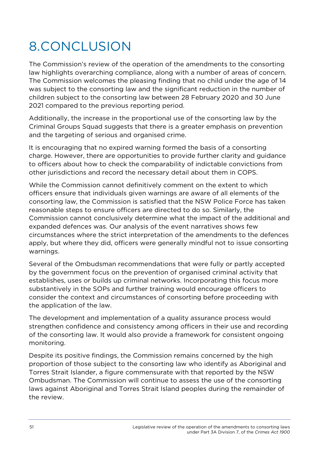# 8.CONCLUSION

The Commission's review of the operation of the amendments to the consorting law highlights overarching compliance, along with a number of areas of concern. The Commission welcomes the pleasing finding that no child under the age of 14 was subject to the consorting law and the significant reduction in the number of children subject to the consorting law between 28 February 2020 and 30 June 2021 compared to the previous reporting period.

Additionally, the increase in the proportional use of the consorting law by the Criminal Groups Squad suggests that there is a greater emphasis on prevention and the targeting of serious and organised crime.

It is encouraging that no expired warning formed the basis of a consorting charge. However, there are opportunities to provide further clarity and guidance to officers about how to check the comparability of indictable convictions from other jurisdictions and record the necessary detail about them in COPS.

While the Commission cannot definitively comment on the extent to which officers ensure that individuals given warnings are aware of all elements of the consorting law, the Commission is satisfied that the NSW Police Force has taken reasonable steps to ensure officers are directed to do so. Similarly, the Commission cannot conclusively determine what the impact of the additional and expanded defences was. Our analysis of the event narratives shows few circumstances where the strict interpretation of the amendments to the defences apply, but where they did, officers were generally mindful not to issue consorting warnings.

Several of the Ombudsman recommendations that were fully or partly accepted by the government focus on the prevention of organised criminal activity that establishes, uses or builds up criminal networks. Incorporating this focus more substantively in the SOPs and further training would encourage officers to consider the context and circumstances of consorting before proceeding with the application of the law.

The development and implementation of a quality assurance process would strengthen confidence and consistency among officers in their use and recording of the consorting law. It would also provide a framework for consistent ongoing monitoring.

Despite its positive findings, the Commission remains concerned by the high proportion of those subject to the consorting law who identify as Aboriginal and Torres Strait Islander, a figure commensurate with that reported by the NSW Ombudsman. The Commission will continue to assess the use of the consorting laws against Aboriginal and Torres Strait Island peoples during the remainder of the review.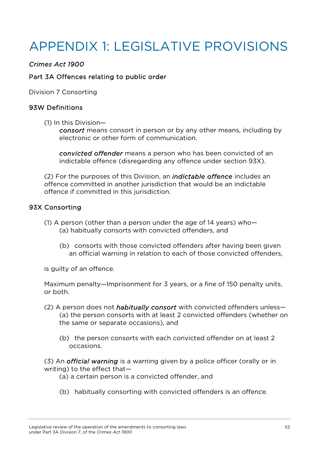# APPENDIX 1: LEGISLATIVE PROVISIONS

#### *Crimes Act 1900*

#### Part 3A Offences relating to public order

Division 7 Consorting

#### 93W Definitions

(1) In this Division—

*consort* means consort in person or by any other means, including by electronic or other form of communication.

*convicted offender* means a person who has been convicted of an indictable offence (disregarding any offence under section 93X).

(2) For the purposes of this Division, an *indictable offence* includes an offence committed in another jurisdiction that would be an indictable offence if committed in this jurisdiction.

#### 93X Consorting

- (1) A person (other than a person under the age of 14 years) who— (a) habitually consorts with convicted offenders, and
	- (b) consorts with those convicted offenders after having been given an official warning in relation to each of those convicted offenders,

is quilty of an offence.

Maximum penalty—Imprisonment for 3 years, or a fine of 150 penalty units, or both.

- (2) A person does not *habitually consort* with convicted offenders unless— (a) the person consorts with at least 2 convicted offenders (whether on the same or separate occasions), and
	- (b) the person consorts with each convicted offender on at least 2 occasions.

(3) An *official warning* is a warning given by a police officer (orally or in writing) to the effect that—

- (a) a certain person is a convicted offender, and
- (b) habitually consorting with convicted offenders is an offence.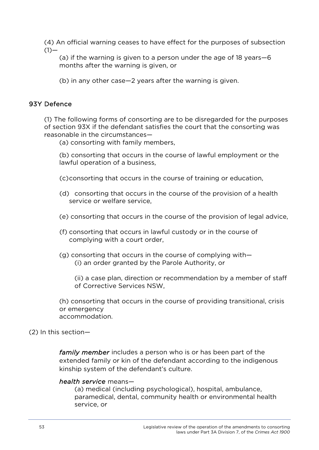(4) An official warning ceases to have effect for the purposes of subsection  $(1)$ —

(a) if the warning is given to a person under the age of 18 years—6 months after the warning is given, or

(b) in any other case—2 years after the warning is given.

#### 93Y Defence

(1) The following forms of consorting are to be disregarded for the purposes of section 93X if the defendant satisfies the court that the consorting was reasonable in the circumstances—

(a) consorting with family members,

(b) consorting that occurs in the course of lawful employment or the lawful operation of a business,

(c)consorting that occurs in the course of training or education,

- (d) consorting that occurs in the course of the provision of a health service or welfare service,
- (e) consorting that occurs in the course of the provision of legal advice,
- (f) consorting that occurs in lawful custody or in the course of complying with a court order,
- (g) consorting that occurs in the course of complying with— (i) an order granted by the Parole Authority, or
	- (ii) a case plan, direction or recommendation by a member of staff of Corrective Services NSW,

(h) consorting that occurs in the course of providing transitional, crisis or emergency accommodation.

#### (2) In this section—

*family member* includes a person who is or has been part of the extended family or kin of the defendant according to the indigenous kinship system of the defendant's culture.

#### *health service* means—

(a) medical (including psychological), hospital, ambulance, paramedical, dental, community health or environmental health service, or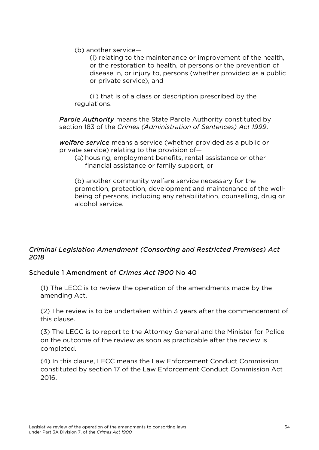(b) another service—

(i) relating to the maintenance or improvement of the health, or the restoration to health, of persons or the prevention of disease in, or injury to, persons (whether provided as a public or private service), and

(ii) that is of a class or description prescribed by the regulations.

*Parole Authority* means the State Parole Authority constituted by section 183 of the *Crimes (Administration of Sentences) Act 1999*.

*welfare service* means a service (whether provided as a public or private service) relating to the provision of—

(a) housing, employment benefits, rental assistance or other financial assistance or family support, or

(b) another community welfare service necessary for the promotion, protection, development and maintenance of the wellbeing of persons, including any rehabilitation, counselling, drug or alcohol service.

#### *Criminal Legislation Amendment (Consorting and Restricted Premises) Act 2018*

#### Schedule 1 Amendment of *Crimes Act 1900* No 40

(1) The LECC is to review the operation of the amendments made by the amending Act.

(2) The review is to be undertaken within 3 years after the commencement of this clause.

(3) The LECC is to report to the Attorney General and the Minister for Police on the outcome of the review as soon as practicable after the review is completed.

(4) In this clause, LECC means the Law Enforcement Conduct Commission constituted by section 17 of the Law Enforcement Conduct Commission Act 2016.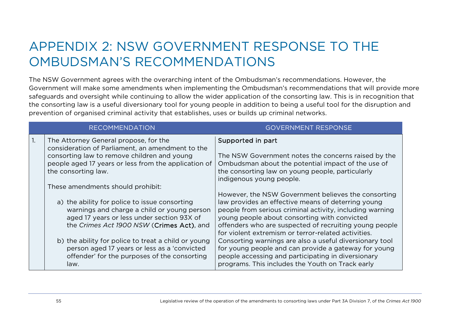# APPENDIX 2: NSW GOVERNMENT RESPONSE TO THE OMBUDSMAN'S RECOMMENDATIONS

The NSW Government agrees with the overarching intent of the Ombudsman's recommendations. However, the Government will make some amendments when implementing the Ombudsman's recommendations that will provide more safeguards and oversight while continuing to allow the wider application of the consorting law. This is in recognition that the consorting law is a useful diversionary tool for young people in addition to being a useful tool for the disruption and prevention of organised criminal activity that establishes, uses or builds up criminal networks.

| <b>RECOMMENDATION</b>                                                                                                                                                                                                                                                                                                                                                                       | <b>GOVERNMENT RESPONSE</b>                                                                                                                                                                                                                                                                                                                                                                                                                                                                                                                                          |
|---------------------------------------------------------------------------------------------------------------------------------------------------------------------------------------------------------------------------------------------------------------------------------------------------------------------------------------------------------------------------------------------|---------------------------------------------------------------------------------------------------------------------------------------------------------------------------------------------------------------------------------------------------------------------------------------------------------------------------------------------------------------------------------------------------------------------------------------------------------------------------------------------------------------------------------------------------------------------|
| The Attorney General propose, for the<br>consideration of Parliament, an amendment to the<br>consorting law to remove children and young<br>people aged 17 years or less from the application of<br>the consorting law.                                                                                                                                                                     | Supported in part<br>The NSW Government notes the concerns raised by the<br>Ombudsman about the potential impact of the use of<br>the consorting law on young people, particularly<br>indigenous young people.                                                                                                                                                                                                                                                                                                                                                      |
| These amendments should prohibit:<br>a) the ability for police to issue consorting<br>warnings and charge a child or young person<br>aged 17 years or less under section 93X of<br>the Crimes Act 1900 NSW (Crimes Act), and<br>b) the ability for police to treat a child or young<br>person aged 17 years or less as a 'convicted<br>offender' for the purposes of the consorting<br>law. | However, the NSW Government believes the consorting<br>law provides an effective means of deterring young<br>people from serious criminal activity, including warning<br>young people about consorting with convicted<br>offenders who are suspected of recruiting young people<br>for violent extremism or terror-related activities.<br>Consorting warnings are also a useful diversionary tool<br>for young people and can provide a gateway for young<br>people accessing and participating in diversionary<br>programs. This includes the Youth on Track early |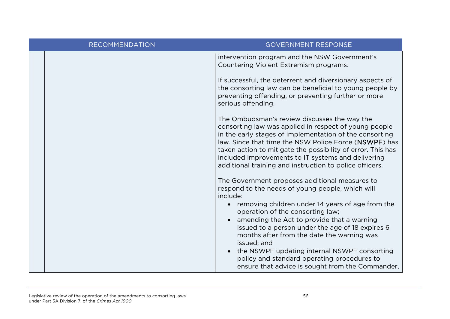| <b>RECOMMENDATION</b> | <b>GOVERNMENT RESPONSE</b>                                                                                                                                                                                                                                                                                                                                                                                |
|-----------------------|-----------------------------------------------------------------------------------------------------------------------------------------------------------------------------------------------------------------------------------------------------------------------------------------------------------------------------------------------------------------------------------------------------------|
|                       | intervention program and the NSW Government's<br>Countering Violent Extremism programs.                                                                                                                                                                                                                                                                                                                   |
|                       | If successful, the deterrent and diversionary aspects of<br>the consorting law can be beneficial to young people by<br>preventing offending, or preventing further or more<br>serious offending.                                                                                                                                                                                                          |
|                       | The Ombudsman's review discusses the way the<br>consorting law was applied in respect of young people<br>in the early stages of implementation of the consorting<br>law. Since that time the NSW Police Force (NSWPF) has<br>taken action to mitigate the possibility of error. This has<br>included improvements to IT systems and delivering<br>additional training and instruction to police officers. |
|                       | The Government proposes additional measures to<br>respond to the needs of young people, which will<br>include:                                                                                                                                                                                                                                                                                            |
|                       | • removing children under 14 years of age from the<br>operation of the consorting law;<br>amending the Act to provide that a warning<br>issued to a person under the age of 18 expires 6<br>months after from the date the warning was<br>issued; and                                                                                                                                                     |
|                       | the NSWPF updating internal NSWPF consorting<br>policy and standard operating procedures to<br>ensure that advice is sought from the Commander,                                                                                                                                                                                                                                                           |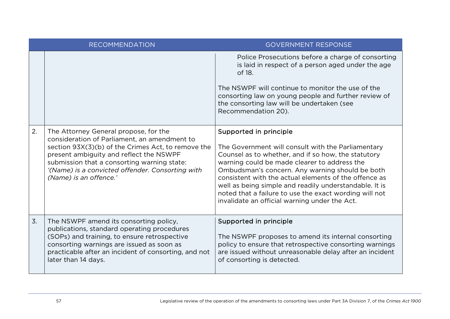| <b>RECOMMENDATION</b> |                                                                                                                                                                                                                                                                                                                     | <b>GOVERNMENT RESPONSE</b>                                                                                                                                                                                                                                                                                                                                                                                                                                           |
|-----------------------|---------------------------------------------------------------------------------------------------------------------------------------------------------------------------------------------------------------------------------------------------------------------------------------------------------------------|----------------------------------------------------------------------------------------------------------------------------------------------------------------------------------------------------------------------------------------------------------------------------------------------------------------------------------------------------------------------------------------------------------------------------------------------------------------------|
|                       |                                                                                                                                                                                                                                                                                                                     | Police Prosecutions before a charge of consorting<br>is laid in respect of a person aged under the age<br>of 18.<br>The NSWPF will continue to monitor the use of the<br>consorting law on young people and further review of<br>the consorting law will be undertaken (see<br>Recommendation 20).                                                                                                                                                                   |
| 2.                    | The Attorney General propose, for the<br>consideration of Parliament, an amendment to<br>section 93X(3)(b) of the Crimes Act, to remove the<br>present ambiguity and reflect the NSWPF<br>submission that a consorting warning state:<br>'(Name) is a convicted offender. Consorting with<br>(Name) is an offence.' | Supported in principle<br>The Government will consult with the Parliamentary<br>Counsel as to whether, and if so how, the statutory<br>warning could be made clearer to address the<br>Ombudsman's concern. Any warning should be both<br>consistent with the actual elements of the offence as<br>well as being simple and readily understandable. It is<br>noted that a failure to use the exact wording will not<br>invalidate an official warning under the Act. |
| 3.                    | The NSWPF amend its consorting policy,<br>publications, standard operating procedures<br>(SOPs) and training, to ensure retrospective<br>consorting warnings are issued as soon as<br>practicable after an incident of consorting, and not<br>later than 14 days.                                                   | Supported in principle<br>The NSWPF proposes to amend its internal consorting<br>policy to ensure that retrospective consorting warnings<br>are issued without unreasonable delay after an incident<br>of consorting is detected.                                                                                                                                                                                                                                    |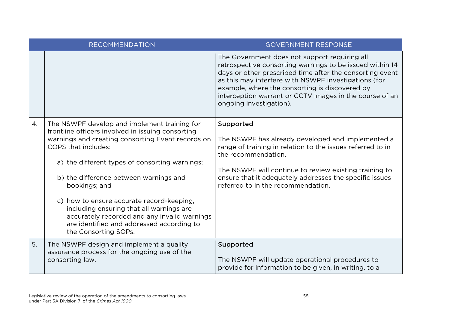| <b>RECOMMENDATION</b> |                                                                                                                                                                                                                                                                                                                                                                                                                                                                                                                 | <b>GOVERNMENT RESPONSE</b>                                                                                                                                                                                                                                                                                                                                            |
|-----------------------|-----------------------------------------------------------------------------------------------------------------------------------------------------------------------------------------------------------------------------------------------------------------------------------------------------------------------------------------------------------------------------------------------------------------------------------------------------------------------------------------------------------------|-----------------------------------------------------------------------------------------------------------------------------------------------------------------------------------------------------------------------------------------------------------------------------------------------------------------------------------------------------------------------|
|                       |                                                                                                                                                                                                                                                                                                                                                                                                                                                                                                                 | The Government does not support requiring all<br>retrospective consorting warnings to be issued within 14<br>days or other prescribed time after the consorting event<br>as this may interfere with NSWPF investigations (for<br>example, where the consorting is discovered by<br>interception warrant or CCTV images in the course of an<br>ongoing investigation). |
| 4.                    | The NSWPF develop and implement training for<br>frontline officers involved in issuing consorting<br>warnings and creating consorting Event records on<br><b>COPS that includes:</b><br>a) the different types of consorting warnings;<br>b) the difference between warnings and<br>bookings; and<br>c) how to ensure accurate record-keeping,<br>including ensuring that all warnings are<br>accurately recorded and any invalid warnings<br>are identified and addressed according to<br>the Consorting SOPs. | Supported<br>The NSWPF has already developed and implemented a<br>range of training in relation to the issues referred to in<br>the recommendation.<br>The NSWPF will continue to review existing training to<br>ensure that it adequately addresses the specific issues<br>referred to in the recommendation.                                                        |
| 5.                    | The NSWPF design and implement a quality<br>assurance process for the ongoing use of the<br>consorting law.                                                                                                                                                                                                                                                                                                                                                                                                     | Supported<br>The NSWPF will update operational procedures to<br>provide for information to be given, in writing, to a                                                                                                                                                                                                                                                 |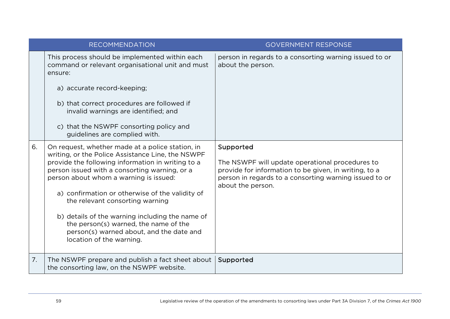|    | <b>RECOMMENDATION</b>                                                                                                                                                                                                                                                                                                                                                                                                                                                                                           | <b>GOVERNMENT RESPONSE</b>                                                                                                                                                                           |
|----|-----------------------------------------------------------------------------------------------------------------------------------------------------------------------------------------------------------------------------------------------------------------------------------------------------------------------------------------------------------------------------------------------------------------------------------------------------------------------------------------------------------------|------------------------------------------------------------------------------------------------------------------------------------------------------------------------------------------------------|
|    | This process should be implemented within each<br>command or relevant organisational unit and must<br>ensure:<br>a) accurate record-keeping;<br>b) that correct procedures are followed if<br>invalid warnings are identified; and<br>c) that the NSWPF consorting policy and<br>guidelines are complied with.                                                                                                                                                                                                  | person in regards to a consorting warning issued to or<br>about the person.                                                                                                                          |
| 6. | On request, whether made at a police station, in<br>writing, or the Police Assistance Line, the NSWPF<br>provide the following information in writing to a<br>person issued with a consorting warning, or a<br>person about whom a warning is issued:<br>a) confirmation or otherwise of the validity of<br>the relevant consorting warning<br>b) details of the warning including the name of<br>the person(s) warned, the name of the<br>person(s) warned about, and the date and<br>location of the warning. | Supported<br>The NSWPF will update operational procedures to<br>provide for information to be given, in writing, to a<br>person in regards to a consorting warning issued to or<br>about the person. |
| 7. | The NSWPF prepare and publish a fact sheet about<br>the consorting law, on the NSWPF website.                                                                                                                                                                                                                                                                                                                                                                                                                   | Supported                                                                                                                                                                                            |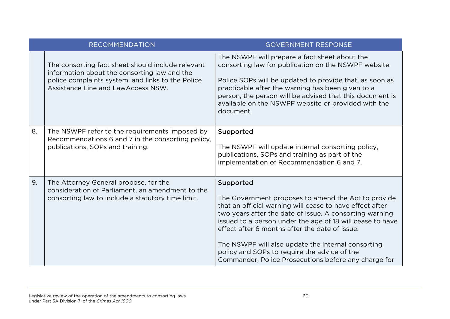|    | <b>RECOMMENDATION</b>                                                                                                                                                                        | <b>GOVERNMENT RESPONSE</b>                                                                                                                                                                                                                                                                                                                                                                                                                                           |
|----|----------------------------------------------------------------------------------------------------------------------------------------------------------------------------------------------|----------------------------------------------------------------------------------------------------------------------------------------------------------------------------------------------------------------------------------------------------------------------------------------------------------------------------------------------------------------------------------------------------------------------------------------------------------------------|
|    | The consorting fact sheet should include relevant<br>information about the consorting law and the<br>police complaints system, and links to the Police<br>Assistance Line and LawAccess NSW. | The NSWPF will prepare a fact sheet about the<br>consorting law for publication on the NSWPF website.<br>Police SOPs will be updated to provide that, as soon as<br>practicable after the warning has been given to a<br>person, the person will be advised that this document is<br>available on the NSWPF website or provided with the<br>document.                                                                                                                |
| 8. | The NSWPF refer to the requirements imposed by<br>Recommendations 6 and 7 in the consorting policy,<br>publications, SOPs and training.                                                      | Supported<br>The NSWPF will update internal consorting policy,<br>publications, SOPs and training as part of the<br>implementation of Recommendation 6 and 7.                                                                                                                                                                                                                                                                                                        |
| 9. | The Attorney General propose, for the<br>consideration of Parliament, an amendment to the<br>consorting law to include a statutory time limit.                                               | Supported<br>The Government proposes to amend the Act to provide<br>that an official warning will cease to have effect after<br>two years after the date of issue. A consorting warning<br>issued to a person under the age of 18 will cease to have<br>effect after 6 months after the date of issue.<br>The NSWPF will also update the internal consorting<br>policy and SOPs to require the advice of the<br>Commander, Police Prosecutions before any charge for |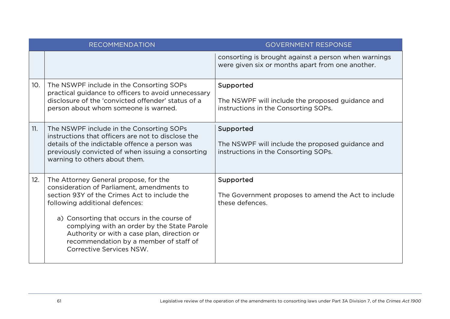| <b>RECOMMENDATION</b> |                                                                                                                                                                                                                                                                                                                                                                                         | <b>GOVERNMENT RESPONSE</b>                                                                               |
|-----------------------|-----------------------------------------------------------------------------------------------------------------------------------------------------------------------------------------------------------------------------------------------------------------------------------------------------------------------------------------------------------------------------------------|----------------------------------------------------------------------------------------------------------|
|                       |                                                                                                                                                                                                                                                                                                                                                                                         | consorting is brought against a person when warnings<br>were given six or months apart from one another. |
| 10.                   | The NSWPF include in the Consorting SOPs<br>practical guidance to officers to avoid unnecessary<br>disclosure of the 'convicted offender' status of a<br>person about whom someone is warned.                                                                                                                                                                                           | Supported<br>The NSWPF will include the proposed guidance and<br>instructions in the Consorting SOPs.    |
| 11.                   | The NSWPF include in the Consorting SOPs<br>instructions that officers are not to disclose the<br>details of the indictable offence a person was<br>previously convicted of when issuing a consorting<br>warning to others about them.                                                                                                                                                  | Supported<br>The NSWPF will include the proposed guidance and<br>instructions in the Consorting SOPs.    |
| 12.                   | The Attorney General propose, for the<br>consideration of Parliament, amendments to<br>section 93Y of the Crimes Act to include the<br>following additional defences:<br>a) Consorting that occurs in the course of<br>complying with an order by the State Parole<br>Authority or with a case plan, direction or<br>recommendation by a member of staff of<br>Corrective Services NSW. | Supported<br>The Government proposes to amend the Act to include<br>these defences.                      |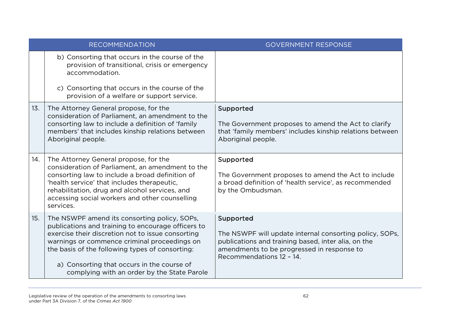|     | <b>RECOMMENDATION</b>                                                                                                                                                                                                                                                                                                                                   | <b>GOVERNMENT RESPONSE</b>                                                                                                                                                                            |
|-----|---------------------------------------------------------------------------------------------------------------------------------------------------------------------------------------------------------------------------------------------------------------------------------------------------------------------------------------------------------|-------------------------------------------------------------------------------------------------------------------------------------------------------------------------------------------------------|
|     | b) Consorting that occurs in the course of the<br>provision of transitional, crisis or emergency<br>accommodation.<br>c) Consorting that occurs in the course of the<br>provision of a welfare or support service.                                                                                                                                      |                                                                                                                                                                                                       |
| 13. | The Attorney General propose, for the<br>consideration of Parliament, an amendment to the<br>consorting law to include a definition of 'family<br>members' that includes kinship relations between<br>Aboriginal people.                                                                                                                                | Supported<br>The Government proposes to amend the Act to clarify<br>that 'family members' includes kinship relations between<br>Aboriginal people.                                                    |
| 14. | The Attorney General propose, for the<br>consideration of Parliament, an amendment to the<br>consorting law to include a broad definition of<br>'health service' that includes therapeutic,<br>rehabilitation, drug and alcohol services, and<br>accessing social workers and other counselling<br>services.                                            | Supported<br>The Government proposes to amend the Act to include<br>a broad definition of 'health service', as recommended<br>by the Ombudsman.                                                       |
| 15. | The NSWPF amend its consorting policy, SOPs,<br>publications and training to encourage officers to<br>exercise their discretion not to issue consorting<br>warnings or commence criminal proceedings on<br>the basis of the following types of consorting:<br>a) Consorting that occurs in the course of<br>complying with an order by the State Parole | Supported<br>The NSWPF will update internal consorting policy, SOPs,<br>publications and training based, inter alia, on the<br>amendments to be progressed in response to<br>Recommendations 12 - 14. |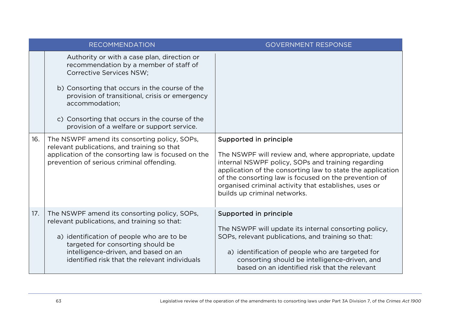|     | <b>RECOMMENDATION</b>                                                                                                                                                                                                                                                                                                                          | <b>GOVERNMENT RESPONSE</b>                                                                                                                                                                                                                                                                                                                           |
|-----|------------------------------------------------------------------------------------------------------------------------------------------------------------------------------------------------------------------------------------------------------------------------------------------------------------------------------------------------|------------------------------------------------------------------------------------------------------------------------------------------------------------------------------------------------------------------------------------------------------------------------------------------------------------------------------------------------------|
|     | Authority or with a case plan, direction or<br>recommendation by a member of staff of<br><b>Corrective Services NSW;</b><br>b) Consorting that occurs in the course of the<br>provision of transitional, crisis or emergency<br>accommodation;<br>c) Consorting that occurs in the course of the<br>provision of a welfare or support service. |                                                                                                                                                                                                                                                                                                                                                      |
| 16. | The NSWPF amend its consorting policy, SOPs,<br>relevant publications, and training so that<br>application of the consorting law is focused on the<br>prevention of serious criminal offending.                                                                                                                                                | Supported in principle<br>The NSWPF will review and, where appropriate, update<br>internal NSWPF policy, SOPs and training regarding<br>application of the consorting law to state the application<br>of the consorting law is focused on the prevention of<br>organised criminal activity that establishes, uses or<br>builds up criminal networks. |
| 17. | The NSWPF amend its consorting policy, SOPs,<br>relevant publications, and training so that:<br>a) identification of people who are to be<br>targeted for consorting should be<br>intelligence-driven, and based on an<br>identified risk that the relevant individuals                                                                        | Supported in principle<br>The NSWPF will update its internal consorting policy,<br>SOPs, relevant publications, and training so that:<br>a) identification of people who are targeted for<br>consorting should be intelligence-driven, and<br>based on an identified risk that the relevant                                                          |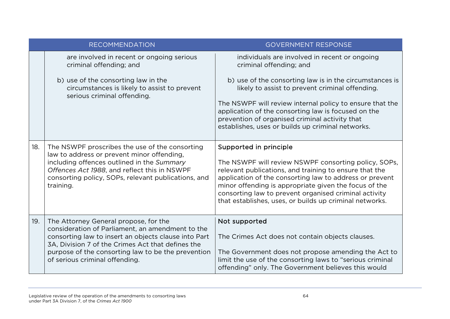|     | <b>RECOMMENDATION</b>                                                                                                                                                                                                                                                                          | <b>GOVERNMENT RESPONSE</b>                                                                                                                                                                                                                                                                                                                                                       |
|-----|------------------------------------------------------------------------------------------------------------------------------------------------------------------------------------------------------------------------------------------------------------------------------------------------|----------------------------------------------------------------------------------------------------------------------------------------------------------------------------------------------------------------------------------------------------------------------------------------------------------------------------------------------------------------------------------|
|     | are involved in recent or ongoing serious<br>criminal offending; and                                                                                                                                                                                                                           | individuals are involved in recent or ongoing<br>criminal offending; and                                                                                                                                                                                                                                                                                                         |
|     | b) use of the consorting law in the<br>circumstances is likely to assist to prevent<br>serious criminal offending.                                                                                                                                                                             | b) use of the consorting law is in the circumstances is<br>likely to assist to prevent criminal offending.<br>The NSWPF will review internal policy to ensure that the<br>application of the consorting law is focused on the<br>prevention of organised criminal activity that<br>establishes, uses or builds up criminal networks.                                             |
| 18. | The NSWPF proscribes the use of the consorting<br>law to address or prevent minor offending,<br>including offences outlined in the Summary<br>Offences Act 1988, and reflect this in NSWPF<br>consorting policy, SOPs, relevant publications, and<br>training.                                 | Supported in principle<br>The NSWPF will review NSWPF consorting policy, SOPs,<br>relevant publications, and training to ensure that the<br>application of the consorting law to address or prevent<br>minor offending is appropriate given the focus of the<br>consorting law to prevent organised criminal activity<br>that establishes, uses, or builds up criminal networks. |
| 19. | The Attorney General propose, for the<br>consideration of Parliament, an amendment to the<br>consorting law to insert an objects clause into Part<br>3A, Division 7 of the Crimes Act that defines the<br>purpose of the consorting law to be the prevention<br>of serious criminal offending. | Not supported<br>The Crimes Act does not contain objects clauses.<br>The Government does not propose amending the Act to<br>limit the use of the consorting laws to "serious criminal<br>offending" only. The Government believes this would                                                                                                                                     |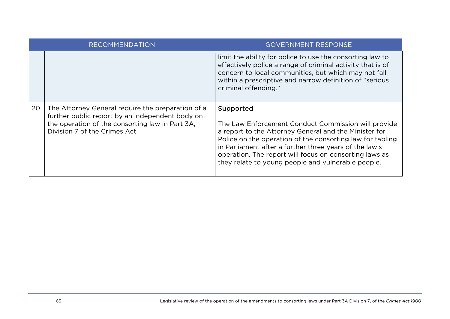|     | <b>RECOMMENDATION</b>                                                                                                                                                                    | <b>GOVERNMENT RESPONSE</b>                                                                                                                                                                                                                                                                                                                                       |
|-----|------------------------------------------------------------------------------------------------------------------------------------------------------------------------------------------|------------------------------------------------------------------------------------------------------------------------------------------------------------------------------------------------------------------------------------------------------------------------------------------------------------------------------------------------------------------|
|     |                                                                                                                                                                                          | limit the ability for police to use the consorting law to<br>effectively police a range of criminal activity that is of<br>concern to local communities, but which may not fall<br>within a prescriptive and narrow definition of "serious<br>criminal offending."                                                                                               |
| 20. | The Attorney General require the preparation of a<br>further public report by an independent body on<br>the operation of the consorting law in Part 3A,<br>Division 7 of the Crimes Act. | Supported<br>The Law Enforcement Conduct Commission will provide<br>a report to the Attorney General and the Minister for<br>Police on the operation of the consorting law for tabling<br>in Parliament after a further three years of the law's<br>operation. The report will focus on consorting laws as<br>they relate to young people and vulnerable people. |